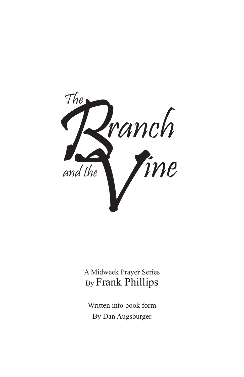

A Midweek Prayer Series By Frank Phillips

Written into book form By Dan Augsburger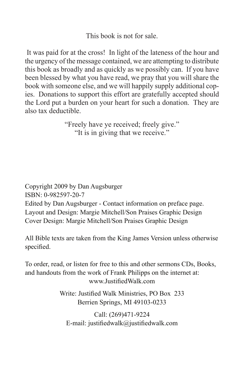This book is not for sale.

 It was paid for at the cross! In light of the lateness of the hour and the urgency of the message contained, we are attempting to distribute this book as broadly and as quickly as we possibly can. If you have been blessed by what you have read, we pray that you will share the book with someone else, and we will happily supply additional copies. Donations to support this effort are gratefully accepted should the Lord put a burden on your heart for such a donation. They are also tax deductible.

> "Freely have ye received; freely give." "It is in giving that we receive."

Copyright 2009 by Dan Augsburger ISBN: 0-982597-20-7 Edited by Dan Augsburger - Contact information on preface page. Layout and Design: Margie Mitchell/Son Praises Graphic Design Cover Design: Margie Mitchell/Son Praises Graphic Design

All Bible texts are taken from the King James Version unless otherwise specified.

To order, read, or listen for free to this and other sermons CDs, Books, and handouts from the work of Frank Philipps on the internet at: www.JustifiedWalk.com

> Write: Justified Walk Ministries, PO Box 233 Berrien Springs, MI 49103-0233

Call: (269)471-9224 E-mail: justifiedwalk@justifiedwalk.com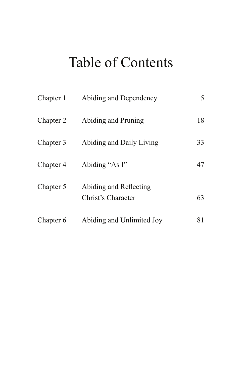# Table of Contents

| Chapter 1 | Abiding and Dependency                       |    |
|-----------|----------------------------------------------|----|
| Chapter 2 | Abiding and Pruning                          | 18 |
| Chapter 3 | Abiding and Daily Living                     | 33 |
| Chapter 4 | Abiding "As I"                               | 47 |
| Chapter 5 | Abiding and Reflecting<br>Christ's Character | 63 |
| Chapter 6 | Abiding and Unlimited Joy                    | 81 |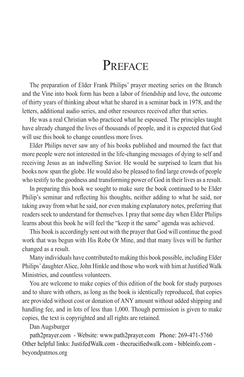# PREFACE

The preparation of Elder Frank Philips' prayer meeting series on the Branch and the Vine into book form has been a labor of friendship and love, the outcome of thirty years of thinking about what he shared in a seminar back in 1978, and the letters, additional audio series, and other resources received after that series.

He was a real Christian who practiced what he espoused. The principles taught have already changed the lives of thousands of people, and it is expected that God will use this book to change countless more lives.

Elder Philips never saw any of his books published and mourned the fact that more people were not interested in the life-changing messages of dying to self and receiving Jesus as an indwelling Savior. He would be surprised to learn that his books now span the globe. He would also be pleased to find large crowds of people who testify to the goodness and transforming power of God in their lives as a result.

In preparing this book we sought to make sure the book continued to be Elder Philip's seminar and reflecting his thoughts, neither adding to what he said, nor taking away from what he said, nor even making explanatory notes, preferring that readers seek to understand for themselves. I pray that some day when Elder Philips learns about this book he will feel the "keep it the same" agenda was achieved.

This book is accordingly sent out with the prayer that God will continue the good work that was begun with His Robe Or Mine, and that many lives will be further changed as a result.

Many individuals have contributed to making this book possible, including Elder Philips' daughter Alice, John Hinkle and those who work with him at Justified Walk Ministries, and countless volunteers.

You are welcome to make copies of this edition of the book for study purposes and to share with others, as long as the book is identically reproduced, that copies are provided without cost or donation of ANY amount without added shipping and handling fee, and in lots of less than 1,000. Though permission is given to make copies, the text is copyrighted and all rights are retained.

Dan Augsburger

 path2prayer.com - Website: www.path2prayer.com Phone: 269-471-5760 Other helpful links: JustifedWalk.com - thecrucifiedwalk.com - bibleinfo.com beyondpatmos.org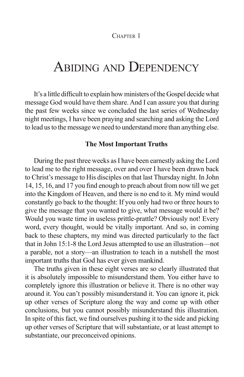CHAPTER 1

# Abiding and Dependency

It's a little difficult to explain how ministers of the Gospel decide what message God would have them share. And I can assure you that during the past few weeks since we concluded the last series of Wednesday night meetings, I have been praying and searching and asking the Lord to lead us to the message we need to understand more than anything else.

#### **The Most Important Truths**

During the past three weeks as I have been earnestly asking the Lord to lead me to the right message, over and over I have been drawn back to Christ's message to His disciples on that last Thursday night. In John 14, 15, 16, and 17 you find enough to preach about from now till we get into the Kingdom of Heaven, and there is no end to it. My mind would constantly go back to the thought: If you only had two or three hours to give the message that you wanted to give, what message would it be? Would you waste time in useless prittle-prattle? Obviously not! Every word, every thought, would be vitally important. And so, in coming back to these chapters, my mind was directed particularly to the fact that in John 15:1-8 the Lord Jesus attempted to use an illustration—not a parable, not a story—an illustration to teach in a nutshell the most important truths that God has ever given mankind.

The truths given in these eight verses are so clearly illustrated that it is absolutely impossible to misunderstand them. You either have to completely ignore this illustration or believe it. There is no other way around it. You can't possibly misunderstand it. You can ignore it, pick up other verses of Scripture along the way and come up with other conclusions, but you cannot possibly misunderstand this illustration. In spite of this fact, we find ourselves pushing it to the side and picking up other verses of Scripture that will substantiate, or at least attempt to substantiate, our preconceived opinions.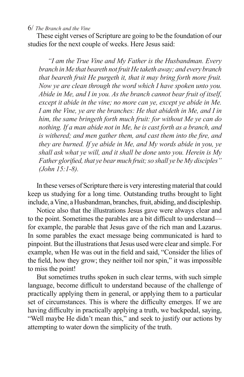These eight verses of Scripture are going to be the foundation of our studies for the next couple of weeks. Here Jesus said:

*"I am the True Vine and My Father is the Husbandman. Every branch in Me that beareth not fruit He taketh away; and every branch that beareth fruit He purgeth it, that it may bring forth more fruit. Now ye are clean through the word which I have spoken unto you. Abide in Me, and I in you. As the branch cannot bear fruit of itself, except it abide in the vine; no more can ye, except ye abide in Me. I am the Vine, ye are the branches: He that abideth in Me, and I in him, the same bringeth forth much fruit: for without Me ye can do nothing. If a man abide not in Me, he is cast forth as a branch, and is withered; and men gather them, and cast them into the fire, and they are burned. If ye abide in Me, and My words abide in you, ye shall ask what ye will, and it shall be done unto you. Herein is My Father glorified, that ye bear much fruit; so shall ye be My disciples" (John 15:1-8).*

In these verses of Scripture there is very interesting material that could keep us studying for a long time. Outstanding truths brought to light include, a Vine, a Husbandman, branches, fruit, abiding, and discipleship.

Notice also that the illustrations Jesus gave were always clear and to the point. Sometimes the parables are a bit difficult to understand for example, the parable that Jesus gave of the rich man and Lazarus. In some parables the exact message being communicated is hard to pinpoint. But the illustrations that Jesus used were clear and simple. For example, when He was out in the field and said, "Consider the lilies of the field, how they grow; they neither toil nor spin," it was impossible to miss the point!

But sometimes truths spoken in such clear terms, with such simple language, become difficult to understand because of the challenge of practically applying them in general, or applying them to a particular set of circumstances. This is where the difficulty emerges. If we are having difficulty in practically applying a truth, we backpedal, saying, "Well maybe He didn't mean this," and seek to justify our actions by attempting to water down the simplicity of the truth.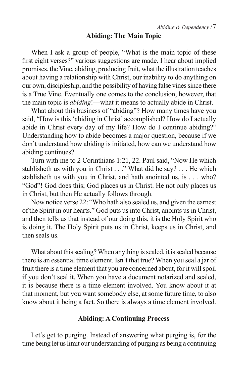#### **Abiding: The Main Topic**

When I ask a group of people, "What is the main topic of these first eight verses?" various suggestions are made. I hear about implied promises, the Vine, abiding, producing fruit, what the illustration teaches about having a relationship with Christ, our inability to do anything on our own, discipleship, and the possibility of having false vines since there is a True Vine. Eventually one comes to the conclusion, however, that the main topic is *abiding*!—what it means to actually abide in Christ.

What about this business of "abiding"? How many times have you said, "How is this 'abiding in Christ' accomplished? How do I actually abide in Christ every day of my life? How do I continue abiding?" Understanding how to abide becomes a major question, because if we don't understand how abiding is initiated, how can we understand how abiding continues?

Turn with me to 2 Corinthians 1:21, 22. Paul said, "Now He which stablisheth us with you in Christ . . ." What did he say? . . . He which stablisheth us with you in Christ, and hath anointed us, is . . . who? "God"! God does this; God places us in Christ. He not only places us in Christ, but then He actually follows through.

Now notice verse 22: "Who hath also sealed us, and given the earnest of the Spirit in our hearts." God puts us into Christ, anoints us in Christ, and then tells us that instead of our doing this, it is the Holy Spirit who is doing it. The Holy Spirit puts us in Christ, keeps us in Christ, and then seals us.

What about this sealing? When anything is sealed, it is sealed because there is an essential time element. Isn't that true? When you seal a jar of fruit there is a time element that you are concerned about, for it will spoil if you don't seal it. When you have a document notarized and sealed, it is because there is a time element involved. You know about it at that moment, but you want somebody else, at some future time, to also know about it being a fact. So there is always a time element involved.

## **Abiding: A Continuing Process**

Let's get to purging. Instead of answering what purging is, for the time being let us limit our understanding of purging as being a continuing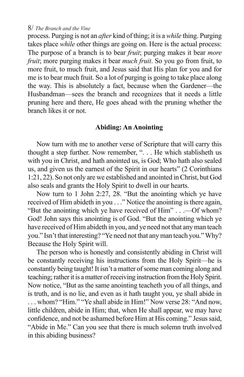process. Purging is not an *after* kind of thing; it is a *while* thing. Purging takes place *while* other things are going on. Here is the actual process: The purpose of a branch is to bear *fruit*; purging makes it bear *more fruit*; more purging makes it bear *much fruit*. So you go from fruit, to more fruit, to much fruit, and Jesus said that His plan for you and for me is to bear much fruit. So a lot of purging is going to take place along the way. This is absolutely a fact, because when the Gardener—the Husbandman—sees the branch and recognizes that it needs a little pruning here and there, He goes ahead with the pruning whether the branch likes it or not.

## **Abiding: An Anointing**

Now turn with me to another verse of Scripture that will carry this thought a step further. Now remember, ". . . He which stablisheth us with you in Christ, and hath anointed us, is God; Who hath also sealed us, and given us the earnest of the Spirit in our hearts" (2 Corinthians 1:21, 22). So not only are we established and anointed in Christ, but God also seals and grants the Holy Spirit to dwell in our hearts.

Now turn to 1 John 2:27, 28. "But the anointing which ye have received of Him abideth in you . . ." Notice the anointing is there again, "But the anointing which ye have received of Him" . . .—Of whom? God! John says this anointing is of God. "But the anointing which ye have received of Him abideth in you, and ye need not that any man teach you." Isn't that interesting? "Ye need not that any man teach you." Why? Because the Holy Spirit will.

The person who is honestly and consistently abiding in Christ will be constantly receiving his instructions from the Holy Spirit—he is constantly being taught! It isn't a matter of some man coming along and teaching; rather it is a matter of receiving instruction from the Holy Spirit. Now notice, "But as the same anointing teacheth you of all things, and is truth, and is no lie, and even as it hath taught you, ye shall abide in . . . whom? "Him." "Ye shall abide in Him!" Now verse 28: "And now, little children, abide in Him; that, when He shall appear, we may have confidence, and not be ashamed before Him at His coming." Jesus said, "Abide in Me." Can you see that there is much solemn truth involved in this abiding business?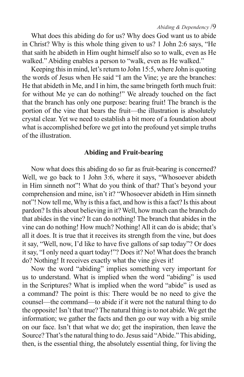What does this abiding do for us? Why does God want us to abide in Christ? Why is this whole thing given to us? 1 John 2:6 says, "He that saith he abideth in Him ought himself also so to walk, even as He walked." Abiding enables a person to "walk, even as He walked."

Keeping this in mind, let's return to John 15:5, where John is quoting the words of Jesus when He said "I am the Vine; ye are the branches: He that abideth in Me, and I in him, the same bringeth forth much fruit: for without Me ye can do nothing!" We already touched on the fact that the branch has only one purpose: bearing fruit! The branch is the portion of the vine that bears the fruit—the illustration is absolutely crystal clear. Yet we need to establish a bit more of a foundation about what is accomplished before we get into the profound yet simple truths of the illustration.

# **Abiding and Fruit-bearing**

Now what does this abiding do so far as fruit-bearing is concerned? Well, we go back to 1 John 3:6, where it says, "Whosoever abideth in Him sinneth not"! What do you think of that? That's beyond your comprehension and mine, isn't it? "Whosoever abideth in Him sinneth not"! Now tell me, Why is this a fact, and how is this a fact? Is this about pardon? Is this about believing in it? Well, how much can the branch do that abides in the vine? It can do nothing! The branch that abides in the vine can do nothing! How much? Nothing! All it can do is abide; that's all it does. It is true that it receives its strength from the vine, but does it say, "Well, now, I'd like to have five gallons of sap today"? Or does it say, "I only need a quart today!"? Does it? No! What does the branch do? Nothing! It receives exactly what the vine gives it!

Now the word "abiding" implies something very important for us to understand. What is implied when the word "abiding" is used in the Scriptures? What is implied when the word "abide" is used as a command? The point is this: There would be no need to give the counsel—the command—to abide if it were not the natural thing to do the opposite! Isn't that true? The natural thing is to not abide. We get the information; we gather the facts and then go our way with a big smile on our face. Isn't that what we do; get the inspiration, then leave the Source? That's the natural thing to do. Jesus said "Abide." This abiding, then, is the essential thing, the absolutely essential thing, for living the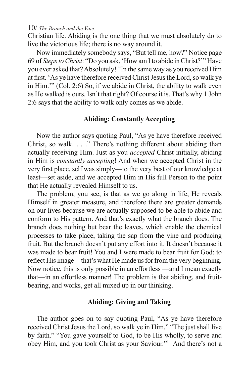Christian life. Abiding is the one thing that we must absolutely do to live the victorious life; there is no way around it.

Now immediately somebody says, "But tell me, how?" Notice page 69 of *Steps to Christ*: "Do you ask, 'How am I to abide in Christ?'" Have you ever asked that? Absolutely! "In the same way as you received Him at first. 'As ye have therefore received Christ Jesus the Lord, so walk ye in Him.'" (Col. 2:6) So, if we abide in Christ, the ability to walk even as He walked is ours. Isn't that right? Of course it is. That's why 1 John 2:6 says that the ability to walk only comes as we abide.

## **Abiding: Constantly Accepting**

Now the author says quoting Paul, "As ye have therefore received Christ, so walk. . . ." There's nothing different about abiding than actually receiving Him. Just as you *accepted* Christ initially, abiding in Him is *constantly accepting*! And when we accepted Christ in the very first place, self was simply—to the very best of our knowledge at least—set aside, and we accepted Him in His full Person to the point that He actually revealed Himself to us.

The problem, you see, is that as we go along in life, He reveals Himself in greater measure, and therefore there are greater demands on our lives because we are actually supposed to be able to abide and conform to His pattern. And that's exactly what the branch does. The branch does nothing but bear the leaves, which enable the chemical processes to take place, taking the sap from the vine and producing fruit. But the branch doesn't put any effort into it. It doesn't because it was made to bear fruit! You and I were made to bear fruit for God; to reflect His image—that's what He made us for from the very beginning. Now notice, this is only possible in an effortless —and I mean exactly that—in an effortless manner! The problem is that abiding, and fruitbearing, and works, get all mixed up in our thinking.

#### **Abiding: Giving and Taking**

The author goes on to say quoting Paul, "As ye have therefore received Christ Jesus the Lord, so walk ye in Him." "The just shall live by faith." "You gave yourself to God, to be His wholly, to serve and obey Him, and you took Christ as your Saviour."1 And there's not a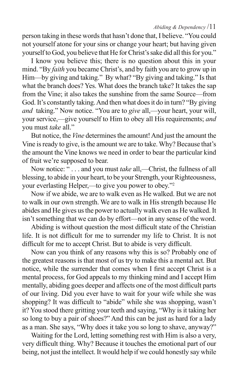*Abiding & Dependency* /11

person taking in these words that hasn't done that, I believe. "You could not yourself atone for your sins or change your heart; but having given yourself to God, you believe that He for Christ's sake did all this for you."

I know you believe this; there is no question about this in your mind. "By *faith* you became Christ's, and by faith you are to grow up in Him—by giving and taking." By what? "By giving and taking." Is that what the branch does? Yes. What does the branch take? It takes the sap from the Vine; it also takes the sunshine from the same Source—from God. It's constantly taking. And then what does it do in turn? "By giving *and* taking." Now notice. "You are to *give* all,—your heart, your will, your service,—give yourself to Him to obey all His requirements; *and*  you must *take* all."

But notice, the *Vine* determines the amount! And just the amount the Vine is ready to give, is the amount we are to take. Why? Because that's the amount the Vine knows we need in order to bear the particular kind of fruit we're supposed to bear.

Now notice: " . . . and you must *take* all,—Christ, the fullness of all blessing, to abide in your heart, to be your Strength, your Righteousness, your everlasting Helper,—to give you power to obey."2

Now if we abide, we are to walk even as He walked. But we are not to walk in our own strength. We are to walk in His strength because He abides and He gives us the power to actually walk even as He walked. It isn't something that we can do by effort—not in any sense of the word.

Abiding is without question the most difficult state of the Christian life. It is not difficult for me to surrender my life to Christ. It is not difficult for me to accept Christ. But to abide is very difficult.

Now can you think of any reasons why this is so? Probably one of the greatest reasons is that most of us try to make this a mental act. But notice, while the surrender that comes when I first accept Christ is a mental process, for God appeals to my thinking mind and I accept Him mentally, abiding goes deeper and affects one of the most difficult parts of our living. Did you ever have to wait for your wife while she was shopping? It was difficult to "abide" while she was shopping, wasn't it? You stood there gritting your teeth and saying, "Why is it taking her so long to buy a pair of shoes?" And this can be just as hard for a lady as a man. She says, "Why does it take you so long to shave, anyway?"

Waiting for the Lord, letting something rest with Him is also a very, very difficult thing. Why? Because it touches the emotional part of our being, not just the intellect. It would help if we could honestly say while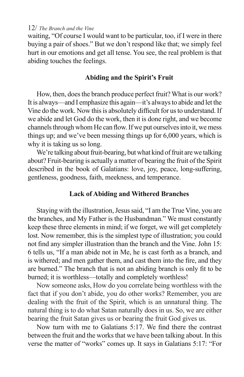waiting, "Of course I would want to be particular, too, if I were in there buying a pair of shoes." But we don't respond like that; we simply feel hurt in our emotions and get all tense. You see, the real problem is that abiding touches the feelings.

# **Abiding and the Spirit's Fruit**

How, then, does the branch produce perfect fruit? What is our work? It is always—and I emphasize this again—it's always to abide and let the Vine do the work. Now this is absolutely difficult for us to understand. If we abide and let God do the work, then it is done right, and we become channels through whom He can flow. If we put ourselves into it, we mess things up; and we've been messing things up for 6,000 years, which is why it is taking us so long.

We're talking about fruit-bearing, but what kind of fruit are we talking about? Fruit-bearing is actually a matter of bearing the fruit of the Spirit described in the book of Galatians: love, joy, peace, long-suffering, gentleness, goodness, faith, meekness, and temperance.

# **Lack of Abiding and Withered Branches**

Staying with the illustration, Jesus said, "I am the True Vine, you are the branches, and My Father is the Husbandman." We must constantly keep these three elements in mind; if we forget, we will get completely lost. Now remember, this is the simplest type of illustration; you could not find any simpler illustration than the branch and the Vine. John 15: 6 tells us, "If a man abide not in Me, he is cast forth as a branch, and is withered; and men gather them, and cast them into the fire, and they are burned." The branch that is not an abiding branch is only fit to be burned; it is worthless—totally and completely worthless!

Now someone asks, How do you correlate being worthless with the fact that if you don't abide, you do other works? Remember, you are dealing with the fruit of the Spirit, which is an unnatural thing. The natural thing is to do what Satan naturally does in us. So, we are either bearing the fruit Satan gives us or bearing the fruit God gives us.

Now turn with me to Galatians 5:17. We find there the contrast between the fruit and the works that we have been talking about. In this verse the matter of "works" comes up. It says in Galatians 5:17: "For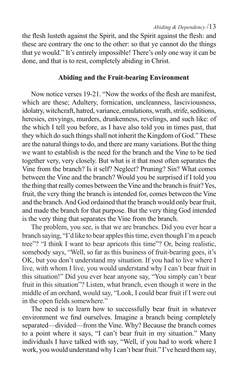the flesh lusteth against the Spirit, and the Spirit against the flesh: and these are contrary the one to the other: so that ye cannot do the things that ye would." It's entirely impossible! There's only one way it can be done, and that is to rest, completely abiding in Christ.

# **Abiding and the Fruit-bearing Environment**

Now notice verses 19-21. "Now the works of the flesh are manifest, which are these; Adultery, fornication, uncleanness, lasciviousness, idolatry, witchcraft, hatred, variance, emulations, wrath, strife, seditions, heresies, envyings, murders, drunkenness, revelings, and such like: of the which I tell you before, as I have also told you in times past, that they which do such things shall not inherit the Kingdom of God." These are the natural things to do, and there are many variations. But the thing we want to establish is the need for the branch and the Vine to be tied together very, very closely. But what is it that most often separates the Vine from the branch? Is it self? Neglect? Pruning? Sin? What comes between the Vine and the branch? Would you be surprised if I told you the thing that really comes between the Vine and the branch is fruit? Yes, fruit, the very thing the branch is intended for, comes between the Vine and the branch. And God ordained that the branch would only bear fruit, and made the branch for that purpose. But the very thing God intended is the very thing that separates the Vine from the branch.

The problem, you see, is that we are branches. Did you ever hear a branch saying, "I'd like to bear apples this time, even though I'm a peach tree"? "I think I want to bear apricots this time"? Or, being realistic, somebody says, "Well, so far as this business of fruit-bearing goes, it's OK, but you don't understand my situation. If you had to live where I live, with whom I live, you would understand why I can't bear fruit in this situation!" Did you ever hear anyone say, "You simply can't bear fruit in this situation"? Listen, what branch, even though it were in the middle of an orchard, would say, "Look, I could bear fruit if I were out in the open fields somewhere."

The need is to learn how to successfully bear fruit in whatever environment we find ourselves. Imagine a branch being completely separated—divided—from the Vine. Why? Because the branch comes to a point where it says, "I can't bear fruit in my situation." Many individuals I have talked with say, "Well, if you had to work where I work, you would understand why I can't bear fruit." I've heard them say,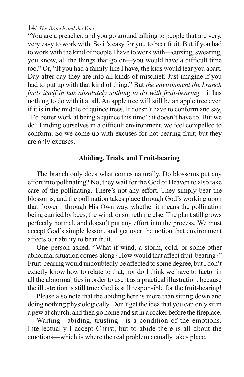"You are a preacher, and you go around talking to people that are very, very easy to work with. So it's easy for you to bear fruit. But if you had to work with the kind of people I have to work with—cursing, swearing, you know, all the things that go on—you would have a difficult time too." Or, "If you had a family like I have, the kids would tear you apart. Day after day they are into all kinds of mischief. Just imagine if you had to put up with that kind of thing." But *the environment the branch finds itself in has absolutely nothing to do with fruit-bearing*—it has nothing to do with it at all. An apple tree will still be an apple tree even if it is in the middle of quince trees. It doesn't have to conform and say, "I'd better work at being a quince this time"; it doesn't have to. But we do? Finding ourselves in a difficult environment, we feel compelled to conform. So we come up with excuses for not bearing fruit; but they are only excuses.

# **Abiding, Trials, and Fruit-bearing**

The branch only does what comes naturally. Do blossoms put any effort into pollinating? No, they wait for the God of Heaven to also take care of the pollinating. There's not any effort. They simply bear the blossoms, and the pollination takes place through God's working upon that flower—through His Own way, whether it means the pollination being carried by bees, the wind, or something else. The plant still grows perfectly normal, and doesn't put any effort into the process. We must accept God's simple lesson, and get over the notion that environment affects our ability to bear fruit.

One person asked, "What if wind, a storm, cold, or some other abnormal situation comes along? How would that affect fruit-bearing?" Fruit-bearing would undoubtedly be affected to some degree, but I don't exactly know how to relate to that, nor do I think we have to factor in all the abnormalities in order to use it as a practical illustration, because the illustration is still true: God is still responsible for the fruit-bearing!

Please also note that the abiding here is more than sitting down and doing nothing physiologically. Don't get the idea that you can only sit in a pew at church, and then go home and sit in a rocker before the fireplace.

Waiting—abiding, trusting—is a condition of the emotions. Intellectually I accept Christ, but to abide there is all about the emotions—which is where the real problem actually takes place.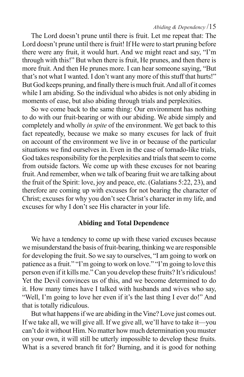The Lord doesn't prune until there is fruit. Let me repeat that: The Lord doesn't prune until there is fruit! If He were to start pruning before there were any fruit, it would hurt. And we might react and say, "I'm through with this!" But when there is fruit, He prunes, and then there is more fruit. And then He prunes more. I can hear someone saying, "But that's not what I wanted. I don't want any more of this stuff that hurts!" But God keeps pruning, and finally there is much fruit. And all of it comes while I am abiding. So the individual who abides is not only abiding in moments of ease, but also abiding through trials and perplexities.

So we come back to the same thing: Our environment has nothing to do with our fruit-bearing or with our abiding. We abide simply and completely and wholly *in spite* of the environment. We get back to this fact repeatedly, because we make so many excuses for lack of fruit on account of the environment we live in or because of the particular situations we find ourselves in. Even in the case of tornado-like trials, God takes responsibility for the perplexities and trials that seem to come from outside factors. We come up with these excuses for not bearing fruit. And remember, when we talk of bearing fruit we are talking about the fruit of the Spirit: love, joy and peace, etc. (Galatians 5:22, 23), and therefore are coming up with excuses for not bearing the character of Christ; excuses for why you don't see Christ's character in my life, and excuses for why I don't see His character in your life.

# **Abiding and Total Dependence**

We have a tendency to come up with these varied excuses because we misunderstand the basis of fruit-bearing, thinking we are responsible for developing the fruit. So we say to ourselves, "I am going to work on patience as a fruit." "I'm going to work on love." "I'm going to love this person even if it kills me." Can you develop these fruits? It's ridiculous! Yet the Devil convinces us of this, and we become determined to do it. How many times have I talked with husbands and wives who say, "Well, I'm going to love her even if it's the last thing I ever do!" And that is totally ridiculous.

But what happens if we are abiding in the Vine? Love just comes out. If we take all, we will give all. If we give all, we'll have to take it—you can't do it without Him. No matter how much determination you muster on your own, it will still be utterly impossible to develop these fruits. What is a severed branch fit for? Burning, and it is good for nothing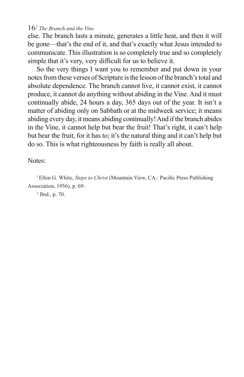else. The branch lasts a minute, generates a little heat, and then it will be gone—that's the end of it, and that's exactly what Jesus intended to communicate. This illustration is so completely true and so completely simple that it's very, very difficult for us to believe it.

So the very things I want you to remember and put down in your notes from these verses of Scripture is the lesson of the branch's total and absolute dependence. The branch cannot live, it cannot exist, it cannot produce, it cannot do anything without abiding in the Vine. And it must continually abide, 24 hours a day, 365 days out of the year. It isn't a matter of abiding only on Sabbath or at the midweek service; it means abiding every day, it means abiding continually! And if the branch abides in the Vine, it cannot help but bear the fruit! That's right, it can't help but bear the fruit, for it has to; it's the natural thing and it can't help but do so. This is what righteousness by faith is really all about.

Notes:

<sup>1</sup> Ellen G. White, *Steps to Christ* (Mountain View, CA.: Pacific Press Publishing Association, 1956), p. 69.

2 Ibid., p. 70.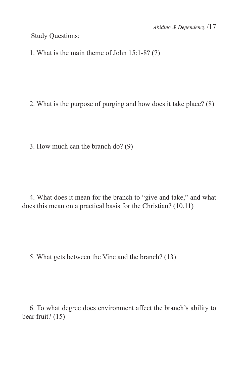Study Questions:

1. What is the main theme of John 15:1-8? (7)

2. What is the purpose of purging and how does it take place? (8)

3. How much can the branch do? (9)

4. What does it mean for the branch to "give and take," and what does this mean on a practical basis for the Christian? (10,11)

5. What gets between the Vine and the branch? (13)

6. To what degree does environment affect the branch's ability to bear fruit? (15)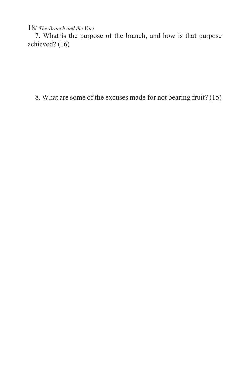7. What is the purpose of the branch, and how is that purpose achieved? (16)

8. What are some of the excuses made for not bearing fruit? (15)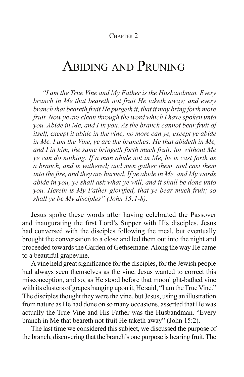#### CHAPTER<sub>2</sub>

# Abiding and Pruning

*"I am the True Vine and My Father is the Husbandman. Every branch in Me that beareth not fruit He taketh away; and every branch that beareth fruit He purgeth it, that it may bring forth more fruit. Now ye are clean through the word which I have spoken unto you. Abide in Me, and I in you. As the branch cannot bear fruit of itself, except it abide in the vine; no more can ye, except ye abide in Me. I am the Vine, ye are the branches: He that abideth in Me, and I in him, the same bringeth forth much fruit: for without Me ye can do nothing. If a man abide not in Me, he is cast forth as a branch, and is withered; and men gather them, and cast them into the fire, and they are burned. If ye abide in Me, and My words abide in you, ye shall ask what ye will, and it shall be done unto you. Herein is My Father glorified, that ye bear much fruit; so shall ye be My disciples" (John 15:1-8).*

Jesus spoke these words after having celebrated the Passover and inaugurating the first Lord's Supper with His disciples. Jesus had conversed with the disciples following the meal, but eventually brought the conversation to a close and led them out into the night and proceeded towards the Garden of Gethsemane. Along the way He came to a beautiful grapevine.

A vine held great significance for the disciples, for the Jewish people had always seen themselves as the vine. Jesus wanted to correct this misconception, and so, as He stood before that moonlight-bathed vine with its clusters of grapes hanging upon it. He said, "I am the True Vine." The disciples thought they were the vine, but Jesus, using an illustration from nature as He had done on so many occasions, asserted that He was actually the True Vine and His Father was the Husbandman. "Every branch in Me that beareth not fruit He taketh away" (John 15:2).

The last time we considered this subject, we discussed the purpose of the branch, discovering that the branch's one purpose is bearing fruit. The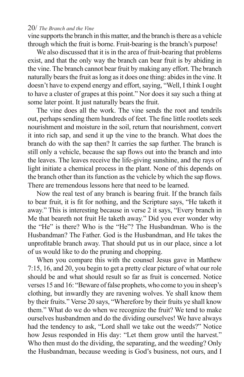vine supports the branch in this matter, and the branch is there as a vehicle through which the fruit is borne. Fruit-bearing is the branch's purpose!

We also discussed that it is in the area of fruit-bearing that problems exist, and that the only way the branch can bear fruit is by abiding in the vine. The branch cannot bear fruit by making any effort. The branch naturally bears the fruit as long as it does one thing: abides in the vine. It doesn't have to expend energy and effort, saying, "Well, I think I ought to have a cluster of grapes at this point." Nor does it say such a thing at some later point. It just naturally bears the fruit.

The vine does all the work. The vine sends the root and tendrils out, perhaps sending them hundreds of feet. The fine little rootlets seek nourishment and moisture in the soil, return that nourishment, convert it into rich sap, and send it up the vine to the branch. What does the branch do with the sap then? It carries the sap further. The branch is still only a vehicle, because the sap flows out into the branch and into the leaves. The leaves receive the life-giving sunshine, and the rays of light initiate a chemical process in the plant. None of this depends on the branch other than its function as the vehicle by which the sap flows. There are tremendous lessons here that need to be learned.

Now the real test of any branch is bearing fruit. If the branch fails to bear fruit, it is fit for nothing, and the Scripture says, "He taketh it away." This is interesting because in verse 2 it says, "Every branch in Me that beareth not fruit He taketh away." Did you ever wonder why the "He" is there? Who is the "He"? The Husbandman. Who is the Husbandman? The Father. God is the Husbandman, and He takes the unprofitable branch away. That should put us in our place, since a lot of us would like to do the pruning and chopping.

When you compare this with the counsel Jesus gave in Matthew 7:15, 16, and 20, you begin to get a pretty clear picture of what our role should be and what should result so far as fruit is concerned. Notice verses 15 and 16: "Beware of false prophets, who come to you in sheep's clothing, but inwardly they are ravening wolves. Ye shall know them by their fruits." Verse 20 says, "Wherefore by their fruits ye shall know them." What do we do when we recognize the fruit? We tend to make ourselves husbandmen and do the dividing ourselves! We have always had the tendency to ask, "Lord shall we take out the weeds?" Notice how Jesus responded in His day: "Let them grow until the harvest." Who then must do the dividing, the separating, and the weeding? Only the Husbandman, because weeding is God's business, not ours, and I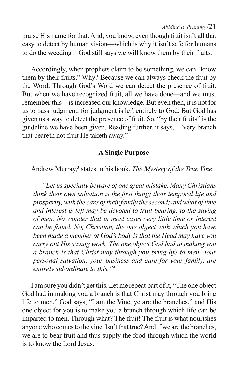*Abiding & Pruning* /21

praise His name for that. And, you know, even though fruit isn't all that easy to detect by human vision—which is why it isn't safe for humans to do the weeding—God still says we will know them by their fruits.

Accordingly, when prophets claim to be something, we can "know them by their fruits." Why? Because we can always check the fruit by the Word. Through God's Word we can detect the presence of fruit. But when we have recognized fruit, all we have done—and we must remember this—is increased our knowledge. But even then, it is not for us to pass judgment, for judgment is left entirely to God. But God has given us a way to detect the presence of fruit. So, "by their fruits" is the guideline we have been given. Reading further, it says, "Every branch that beareth not fruit He taketh away."

# **A Single Purpose**

Andrew Murray,3 states in his book, *The Mystery of the True Vine*:

*"Let us specially beware of one great mistake. Many Christians think their own salvation is the first thing; their temporal life and prosperity, with the care of their family the second; and what of time and interest is left may be devoted to fruit-bearing, to the saving of men. No wonder that in most cases very little time or interest can be found. No, Christian, the one object with which you have been made a member of God's body is that the Head may have you carry out His saving work. The one object God had in making you a branch is that Christ may through you bring life to men. Your personal salvation, your business and care for your family, are entirely subordinate to this."4*

I am sure you didn't get this. Let me repeat part of it, "The one object God had in making you a branch is that Christ may through you bring life to men." God says, "I am the Vine, ye are the branches," and His one object for you is to make you a branch through which life can be imparted to men. Through what? The fruit! The fruit is what nourishes anyone who comes to the vine. Isn't that true? And if we are the branches, we are to bear fruit and thus supply the food through which the world is to know the Lord Jesus.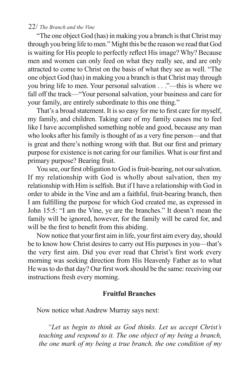"The one object God (has) in making you a branch is that Christ may through you bring life to men." Might this be the reason we read that God is waiting for His people to perfectly reflect His image? Why? Because men and women can only feed on what they really see, and are only attracted to come to Christ on the basis of what they see as well. "The one object God (has) in making you a branch is that Christ may through you bring life to men. Your personal salvation . . ."—this is where we fall off the track—"Your personal salvation, your business and care for your family, are entirely subordinate to this one thing."

That's a broad statement. It is so easy for me to first care for myself, my family, and children. Taking care of my family causes me to feel like I have accomplished something noble and good, because any man who looks after his family is thought of as a very fine person—and that is great and there's nothing wrong with that. But our first and primary purpose for existence is not caring for our families. What is our first and primary purpose? Bearing fruit.

You see, our first obligation to God is fruit-bearing, not our salvation. If my relationship with God is wholly about salvation, then my relationship with Him is selfish. But if I have a relationship with God in order to abide in the Vine and am a faithful, fruit-bearing branch, then I am fulfilling the purpose for which God created me, as expressed in John 15:5: "I am the Vine, ye are the branches." It doesn't mean the family will be ignored, however, for the family will be cared for, and will be the first to benefit from this abiding.

Now notice that your first aim in life, your first aim every day, should be to know how Christ desires to carry out His purposes in you—that's the very first aim. Did you ever read that Christ's first work every morning was seeking direction from His Heavenly Father as to what He was to do that day? Our first work should be the same: receiving our instructions fresh every morning.

#### **Fruitful Branches**

Now notice what Andrew Murray says next:

*"Let us begin to think as God thinks. Let us accept Christ's teaching and respond to it. The one object of my being a branch, the one mark of my being a true branch, the one condition of my*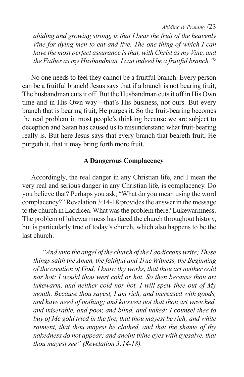*Abiding & Pruning* /23

*abiding and growing strong, is that I bear the fruit of the heavenly Vine for dying men to eat and live. The one thing of which I can have the most perfect assurance is that, with Christ as my Vine, and the Father as my Husbandman, I can indeed be a fruitful branch."*<sup>5</sup>

No one needs to feel they cannot be a fruitful branch. Every person can be a fruitful branch! Jesus says that if a branch is not bearing fruit, The husbandman cuts it off. But the Husbandman cuts it off in His Own time and in His Own way—that's His business, not ours. But every branch that is bearing fruit, He purges it. So the fruit-bearing becomes the real problem in most people's thinking because we are subject to deception and Satan has caused us to misunderstand what fruit-bearing really is. But here Jesus says that every branch that beareth fruit, He purgeth it, that it may bring forth more fruit.

# **A Dangerous Complacency**

Accordingly, the real danger in any Christian life, and I mean the very real and serious danger in any Christian life, is complacency. Do you believe that? Perhaps you ask, "What do you mean using the word complacency?" Revelation 3:14-18 provides the answer in the message to the church in Laodicea. What was the problem there? Lukewarmness. The problem of lukewarmness has faced the church throughout history, but is particularly true of today's church, which also happens to be the last church.

*"And unto the angel of the church of the Laodiceans write; These things saith the Amen, the faithful and True Witness, the Beginning of the creation of God; I know thy works, that thou art neither cold nor hot: I would thou wert cold or hot. So then because thou art lukewarm, and neither cold nor hot, I will spew thee out of My mouth. Because thou sayest, I am rich, and increased with goods, and have need of nothing; and knowest not that thou art wretched, and miserable, and poor, and blind, and naked: I counsel thee to buy of Me gold tried in the fire, that thou mayest be rich; and white raiment, that thou mayest be clothed, and that the shame of thy nakedness do not appear; and anoint thine eyes with eyesalve, that thou mayest see" (Revelation 3:14-18).*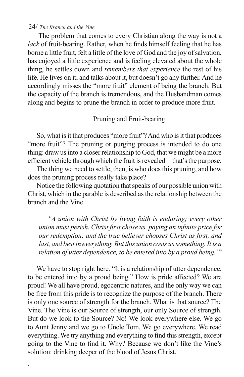.

 The problem that comes to every Christian along the way is not a *lack* of fruit-bearing. Rather, when he finds himself feeling that he has borne a little fruit, felt a little of the love of God and the joy of salvation, has enjoyed a little experience and is feeling elevated about the whole thing, he settles down and *remembers that experience* the rest of his life. He lives on it, and talks about it, but doesn't go any further. And he accordingly misses the "more fruit" element of being the branch. But the capacity of the branch is tremendous, and the Husbandman comes along and begins to prune the branch in order to produce more fruit.

### Pruning and Fruit-bearing

So, what is it that produces "more fruit"? And who is it that produces "more fruit"? The pruning or purging process is intended to do one thing: draw us into a closer relationship to God, that we might be a more efficient vehicle through which the fruit is revealed—that's the purpose.

The thing we need to settle, then, is who does this pruning, and how does the pruning process really take place?

Notice the following quotation that speaks of our possible union with Christ, which in the parable is described as the relationship between the branch and the Vine.

*"A union with Christ by living faith is enduring; every other union must perish. Christ first chose us, paying an infinite price for our redemption; and the true believer chooses Christ as first, and last, and best in everything. But this union costs us something. It is a relation of utter dependence, to be entered into by a proud being."6*

We have to stop right here. "It is a relationship of utter dependence, to be entered into by a proud being." How is pride affected? We are proud! We all have proud, egocentric natures, and the only way we can be free from this pride is to recognize the purpose of the branch. There is only one source of strength for the branch. What is that source? The Vine. The Vine is our Source of strength, our only Source of strength. But do we look to the Source? No! We look everywhere else. We go to Aunt Jenny and we go to Uncle Tom. We go everywhere. We read everything. We try anything and everything to find this strength, except going to the Vine to find it. Why? Because we don't like the Vine's solution: drinking deeper of the blood of Jesus Christ.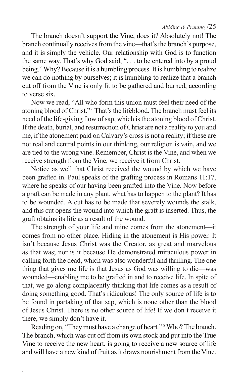The branch doesn't support the Vine, does it? Absolutely not! The branch continually receives from the vine—that's the branch's purpose, and it is simply the vehicle. Our relationship with God is to function the same way. That's why God said, ". . . to be entered into by a proud being." Why? Because it is a humbling process. It is humbling to realize we can do nothing by ourselves; it is humbling to realize that a branch cut off from the Vine is only fit to be gathered and burned, according to verse six.

Now we read, "All who form this union must feel their need of the atoning blood of Christ."*<sup>7</sup>* That's the lifeblood. The branch must feel its need of the life-giving flow of sap, which is the atoning blood of Christ. If the death, burial, and resurrection of Christ are not a reality to you and me, if the atonement paid on Calvary's cross is not a reality; if these are not real and central points in our thinking, our religion is vain, and we are tied to the wrong vine. Remember, Christ is the Vine, and when we receive strength from the Vine, we receive it from Christ.

Notice as well that Christ received the wound by which we have been grafted in. Paul speaks of the grafting process in Romans 11:17, where he speaks of our having been grafted into the Vine. Now before a graft can be made in any plant, what has to happen to the plant? It has to be wounded. A cut has to be made that severely wounds the stalk, and this cut opens the wound into which the graft is inserted. Thus, the graft obtains its life as a result of the wound.

The strength of your life and mine comes from the atonement—it comes from no other place. Hiding in the atonement is His power. It isn't because Jesus Christ was the Creator, as great and marvelous as that was; nor is it because He demonstrated miraculous power in calling forth the dead, which was also wonderful and thrilling. The one thing that gives me life is that Jesus as God was willing to die—was wounded—enabling me to be grafted in and to receive life. In spite of that, we go along complacently thinking that life comes as a result of doing something good. That's ridiculous! The only source of life is to be found in partaking of that sap, which is none other than the blood of Jesus Christ. There is no other source of life! If we don't receive it there, we simply don't have it.

Reading on, "They must have a change of heart." <sup>8</sup> Who? The branch. The branch, which was cut off from its own stock and put into the True Vine to receive the new heart, is going to receive a new source of life and will have a new kind of fruit as it draws nourishment from the Vine.

. .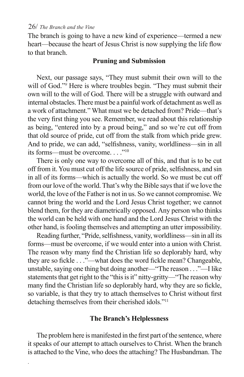.

The branch is going to have a new kind of experience—termed a new heart—because the heart of Jesus Christ is now supplying the life flow to that branch.

# **Pruning and Submission**

Next, our passage says, "They must submit their own will to the will of God."<sup>9</sup> Here is where troubles begin. "They must submit their own will to the will of God. There will be a struggle with outward and internal obstacles. There must be a painful work of detachment as well as a work of attachment." What must we be detached from? Pride—that's the very first thing you see. Remember, we read about this relationship as being, "entered into by a proud being," and so we're cut off from that old source of pride, cut off from the stalk from which pride grew. And to pride, we can add, "selfishness, vanity, worldliness—sin in all its forms—must be overcome. . . . "<sup>10</sup>

There is only one way to overcome all of this, and that is to be cut off from it. You must cut off the life source of pride, selfishness, and sin in all of its forms—which is actually the world. So we must be cut off from our love of the world. That's why the Bible says that if we love the world, the love of the Father is not in us. So we cannot compromise. We cannot bring the world and the Lord Jesus Christ together; we cannot blend them, for they are diametrically opposed. Any person who thinks the world can be held with one hand and the Lord Jesus Christ with the other hand, is fooling themselves and attempting an utter impossibility.

Reading further, "Pride, selfishness, vanity, worldliness—sin in all its forms—must be overcome, if we would enter into a union with Christ. The reason why many find the Christian life so deplorably hard, why they are so fickle . . ."—what does the word fickle mean? Changeable, unstable, saying one thing but doing another—"The reason . . ."—I like statements that get right to the "this is it" nitty-gritty—"The reason why many find the Christian life so deplorably hard, why they are so fickle, so variable, is that they try to attach themselves to Christ without first detaching themselves from their cherished idols."11

# **The Branch's Helplessness**

The problem here is manifested in the first part of the sentence, where it speaks of our attempt to attach ourselves to Christ. When the branch is attached to the Vine, who does the attaching? The Husbandman. The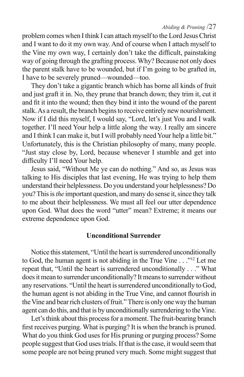*Abiding & Pruning* /27

problem comes when I think I can attach myself to the Lord Jesus Christ and I want to do it my own way. And of course when I attach myself to the Vine my own way, I certainly don't take the difficult, painstaking way of going through the grafting process. Why? Because not only does the parent stalk have to be wounded, but if I'm going to be grafted in, I have to be severely pruned—wounded—too.

They don't take a gigantic branch which has borne all kinds of fruit and just graft it in. No, they prune that branch down; they trim it, cut it and fit it into the wound; then they bind it into the wound of the parent stalk. As a result, the branch begins to receive entirely new nourishment. Now if I did this myself, I would say, "Lord, let's just You and I walk together. I'll need Your help a little along the way. I really am sincere and I think I can make it, but I will probably need Your help a little bit." Unfortunately, this is the Christian philosophy of many, many people. "Just stay close by, Lord, because whenever I stumble and get into difficulty I'll need Your help.

Jesus said, "Without Me ye can do nothing." And so, as Jesus was talking to His disciples that last evening, He was trying to help them understand their helplessness. Do you understand your helplessness? Do you? This is *the* important question, and many do sense it, since they talk to me about their helplessness. We must all feel our utter dependence upon God. What does the word "utter" mean? Extreme; it means our extreme dependence upon God.

#### **Unconditional Surrender**

Notice this statement, "Until the heart is surrendered unconditionally to God, the human agent is not abiding in the True Vine . . ."12 Let me repeat that, "Until the heart is surrendered unconditionally . . ." What does it mean to surrender unconditionally? It means to surrender without any reservations. "Until the heart is surrendered unconditionally to God, the human agent is not abiding in the True Vine, and cannot flourish in the Vine and bear rich clusters of fruit." There is only one way the human agent can do this, and that is by unconditionally surrendering to the Vine.

Let's think about this process for a moment. The fruit-bearing branch first receives purging. What is purging? It is when the branch is pruned. What do you think God uses for His pruning or purging process? Some people suggest that God uses trials. If that is the case, it would seem that some people are not being pruned very much. Some might suggest that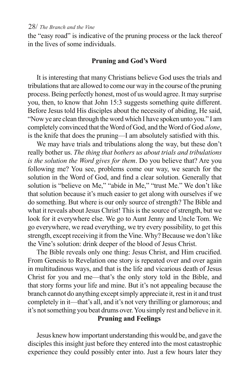the "easy road" is indicative of the pruning process or the lack thereof in the lives of some individuals.

# **Pruning and God's Word**

It is interesting that many Christians believe God uses the trials and tribulations that are allowed to come our way in the course of the pruning process. Being perfectly honest, most of us would agree. It may surprise you, then, to know that John 15:3 suggests something quite different. Before Jesus told His disciples about the necessity of abiding, He said, "Now ye are clean through the word which I have spoken unto you." I am completely convinced that the Word of God, and the Word of God *alone*, is the knife that does the pruning—I am absolutely satisfied with this.

We may have trials and tribulations along the way, but these don't really bother us. *The thing that bothers us about trials and tribulations is the solution the Word gives for them*. Do you believe that? Are you following me? You see, problems come our way, we search for the solution in the Word of God, and find a clear solution. Generally that solution is "believe on Me," "abide in Me," "trust Me." We don't like that solution because it's much easier to get along with ourselves if we do something. But where is our only source of strength? The Bible and what it reveals about Jesus Christ! This is the source of strength, but we look for it everywhere else. We go to Aunt Jenny and Uncle Tom. We go everywhere, we read everything, we try every possibility, to get this strength, except receiving it from the Vine. Why? Because we don't like the Vine's solution: drink deeper of the blood of Jesus Christ.

The Bible reveals only one thing: Jesus Christ, and Him crucified. From Genesis to Revelation one story is repeated over and over again in multitudinous ways, and that is the life and vicarious death of Jesus Christ for you and me—that's the only story told in the Bible, and that story forms your life and mine. But it's not appealing because the branch cannot do anything except simply appreciate it, rest in it and trust completely in it—that's all, and it's not very thrilling or glamorous; and it's not something you beat drums over. You simply rest and believe in it.

# **Pruning and Feelings**

Jesus knew how important understanding this would be, and gave the disciples this insight just before they entered into the most catastrophic experience they could possibly enter into. Just a few hours later they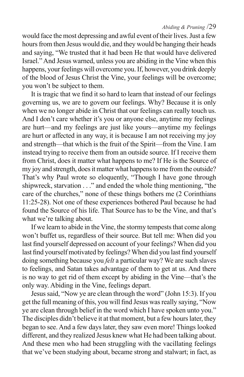*Abiding & Pruning* /29

would face the most depressing and awful event of their lives. Just a few hours from then Jesus would die, and they would be hanging their heads and saying, "We trusted that it had been He that would have delivered Israel." And Jesus warned, unless you are abiding in the Vine when this happens, your feelings will overcome you. If, however, you drink deeply of the blood of Jesus Christ the Vine, your feelings will be overcome; you won't be subject to them.

It is tragic that we find it so hard to learn that instead of our feelings governing us, we are to govern our feelings. Why? Because it is only when we no longer abide in Christ that our feelings can really touch us. And I don't care whether it's you or anyone else, anytime my feelings are hurt—and my feelings are just like yours—anytime my feelings are hurt or affected in any way, it is because I am not receiving my joy and strength—that which is the fruit of the Spirit—from the Vine. I am instead trying to receive them from an outside source. If I receive them from Christ, does it matter what happens to me? If He is the Source of my joy and strength, does it matter what happens to me from the outside? That's why Paul wrote so eloquently, "Though I have gone through shipwreck, starvation . . ." and ended the whole thing mentioning, "the care of the churches," none of these things bothers me (2 Corinthians 11:25-28). Not one of these experiences bothered Paul because he had found the Source of his life. That Source has to be the Vine, and that's what we're talking about.

If we learn to abide in the Vine, the stormy tempests that come along won't buffet us, regardless of their source. But tell me: When did you last find yourself depressed on account of your feelings? When did you last find yourself motivated by feelings? When did you last find yourself doing something because you *felt* a particular way? We are such slaves to feelings, and Satan takes advantage of them to get at us. And there is no way to get rid of them except by abiding in the Vine—that's the only way. Abiding in the Vine, feelings depart.

Jesus said, "Now ye are clean through the word" (John 15:3). If you get the full meaning of this, you will find Jesus was really saying, "Now ye are clean through belief in the word which I have spoken unto you." The disciples didn't believe it at that moment, but a few hours later, they began to see. And a few days later, they saw even more! Things looked different, and they realized Jesus knew what He had been talking about. And these men who had been struggling with the vacillating feelings that we've been studying about, became strong and stalwart; in fact, as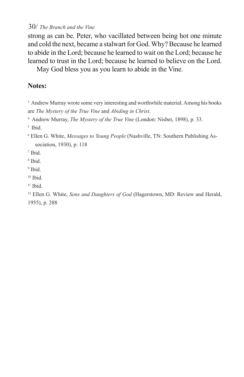strong as can be. Peter, who vacillated between being hot one minute and cold the next, became a stalwart for God. Why? Because he learned to abide in the Lord; because he learned to wait on the Lord; because he learned to trust in the Lord; because he learned to believe on the Lord.

May God bless you as you learn to abide in the Vine.

# **Notes:**

<sup>3</sup> Andrew Murray wrote some very interesting and worthwhile material. Among his books are *The Mystery of the True Vine* and *Abiding in Christ*.

4 Andrew Murray, *The Mystery of the True Vine* (London: Nisbet, 1898), p. 33.

5 Ibid.

6 Ellen G. White, *Messages to Young People* (Nashville, TN: Southern Publishing Association, 1930), p. 118

7 Ibid.

8 Ibid.

<sup>9</sup> Ibid.

 $10$  Ibid.

 $11$  Ibid.

12 Ellen G. White, *Sons and Daughters of God* (Hagerstown, MD: Review and Herald, 1955), p. 288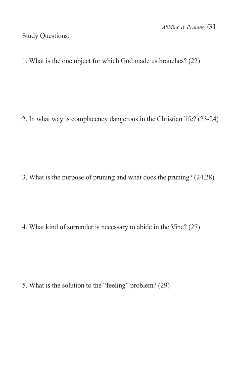Study Questions:

1. What is the one object for which God made us branches? (22)

2. In what way is complacency dangerous in the Christian life? (23-24)

3. What is the purpose of pruning and what does the pruning? (24,28)

4. What kind of surrender is necessary to abide in the Vine? (27)

5. What is the solution to the "feeling" problem? (29)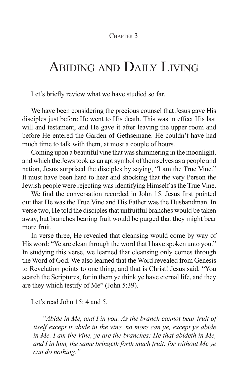#### CHAPTER 3

# ABIDING AND DAILY LIVING

Let's briefly review what we have studied so far.

We have been considering the precious counsel that Jesus gave His disciples just before He went to His death. This was in effect His last will and testament, and He gave it after leaving the upper room and before He entered the Garden of Gethsemane. He couldn't have had much time to talk with them, at most a couple of hours.

Coming upon a beautiful vine that was shimmering in the moonlight, and which the Jews took as an apt symbol of themselves as a people and nation, Jesus surprised the disciples by saying, "I am the True Vine." It must have been hard to hear and shocking that the very Person the Jewish people were rejecting was identifying Himself as the True Vine.

We find the conversation recorded in John 15. Jesus first pointed out that He was the True Vine and His Father was the Husbandman. In verse two, He told the disciples that unfruitful branches would be taken away, but branches bearing fruit would be purged that they might bear more fruit.

In verse three, He revealed that cleansing would come by way of His word: "Ye are clean through the word that I have spoken unto you." In studying this verse, we learned that cleansing only comes through the Word of God. We also learned that the Word revealed from Genesis to Revelation points to one thing, and that is Christ! Jesus said, "You search the Scriptures, for in them ye think ye have eternal life, and they are they which testify of Me" (John 5:39).

Let's read John 15: 4 and 5.

*"Abide in Me, and I in you. As the branch cannot bear fruit of itself except it abide in the vine, no more can ye, except ye abide in Me. I am the Vine, ye are the branches: He that abideth in Me, and I in him, the same bringeth forth much fruit: for without Me ye can do nothing."*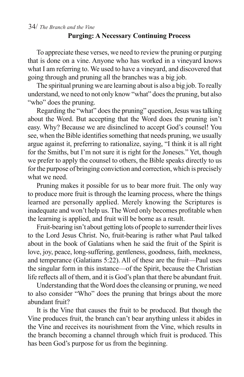To appreciate these verses, we need to review the pruning or purging that is done on a vine. Anyone who has worked in a vineyard knows what I am referring to. We used to have a vineyard, and discovered that going through and pruning all the branches was a big job.

The spiritual pruning we are learning about is also a big job. To really understand, we need to not only know "what" does the pruning, but also "who" does the pruning.

Regarding the "what" does the pruning" question, Jesus was talking about the Word. But accepting that the Word does the pruning isn't easy. Why? Because we are disinclined to accept God's counsel! You see, when the Bible identifies something that needs pruning, we usually argue against it, preferring to rationalize, saying, "I think it is all right for the Smiths, but I'm not sure it is right for the Joneses." Yet, though we prefer to apply the counsel to others, the Bible speaks directly to us for the purpose of bringing conviction and correction, which is precisely what we need.

Pruning makes it possible for us to bear more fruit. The only way to produce more fruit is through the learning process, where the things learned are personally applied. Merely knowing the Scriptures is inadequate and won't help us. The Word only becomes profitable when the learning is applied, and fruit will be borne as a result.

Fruit-bearing isn't about getting lots of people to surrender their lives to the Lord Jesus Christ. No, fruit-bearing is rather what Paul talked about in the book of Galatians when he said the fruit of the Spirit is love, joy, peace, long-suffering, gentleness, goodness, faith, meekness, and temperance (Galatians 5:22). All of these are the fruit—Paul uses the singular form in this instance—of the Spirit, because the Christian life reflects all of them, and it is God's plan that there be abundant fruit.

Understanding that the Word does the cleansing or pruning, we need to also consider "Who" does the pruning that brings about the more abundant fruit?

It is the Vine that causes the fruit to be produced. But though the Vine produces fruit, the branch can't bear anything unless it abides in the Vine and receives its nourishment from the Vine, which results in the branch becoming a channel through which fruit is produced. This has been God's purpose for us from the beginning.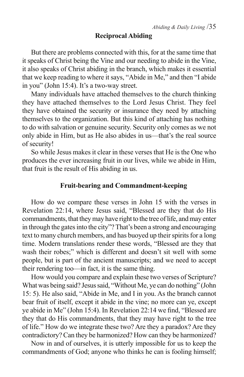# **Reciprocal Abiding**

But there are problems connected with this, for at the same time that it speaks of Christ being the Vine and our needing to abide in the Vine, it also speaks of Christ abiding in the branch, which makes it essential that we keep reading to where it says, "Abide in Me," and then "I abide in you" (John 15:4). It's a two-way street.

Many individuals have attached themselves to the church thinking they have attached themselves to the Lord Jesus Christ. They feel they have obtained the security or insurance they need by attaching themselves to the organization. But this kind of attaching has nothing to do with salvation or genuine security. Security only comes as we not only abide in Him, but as He also abides in us—that's the real source of security!

So while Jesus makes it clear in these verses that He is the One who produces the ever increasing fruit in our lives, while we abide in Him, that fruit is the result of His abiding in us.

# **Fruit-bearing and Commandment-keeping**

How do we compare these verses in John 15 with the verses in Revelation 22:14, where Jesus said, "Blessed are they that do His commandments, that they may have right to the tree of life, and may enter in through the gates into the city"? That's been a strong and encouraging text to many church members, and has buoyed up their spirits for a long time. Modern translations render these words, "Blessed are they that wash their robes;" which is different and doesn't sit well with some people, but is part of the ancient manuscripts; and we need to accept their rendering too—in fact, it is the same thing.

How would you compare and explain these two verses of Scripture? What was being said? Jesus said, "Without Me, ye can do nothing" (John 15: 5). He also said, "Abide in Me, and I in you. As the branch cannot bear fruit of itself, except it abide in the vine; no more can ye, except ye abide in Me" (John 15:4). In Revelation 22:14 we find, "Blessed are they that do His commandments, that they may have right to the tree of life." How do we integrate these two? Are they a paradox? Are they contradictory? Can they be harmonized? How can they be harmonized?

Now in and of ourselves, it is utterly impossible for us to keep the commandments of God; anyone who thinks he can is fooling himself;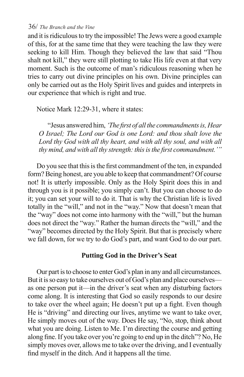and it is ridiculous to try the impossible! The Jews were a good example of this, for at the same time that they were teaching the law they were seeking to kill Him. Though they believed the law that said "Thou shalt not kill," they were still plotting to take His life even at that very moment. Such is the outcome of man's ridiculous reasoning when he tries to carry out divine principles on his own. Divine principles can only be carried out as the Holy Spirit lives and guides and interprets in our experience that which is right and true.

Notice Mark 12:29-31, where it states:

"Jesus answered him, *'The first of all the commandments is, Hear O Israel; The Lord our God is one Lord: and thou shalt love the Lord thy God with all thy heart, and with all thy soul, and with all thy mind, and with all thy strength: this is the first commandment.'"*

Do you see that this is the first commandment of the ten, in expanded form? Being honest, are you able to keep that commandment? Of course not! It is utterly impossible. Only as the Holy Spirit does this in and through you is it possible; you simply can't. But you can choose to do it; you can set your will to do it. That is why the Christian life is lived totally in the "will," and not in the "way." Now that doesn't mean that the "way" does not come into harmony with the "will," but the human does not direct the "way." Rather the human directs the "will," and the "way" becomes directed by the Holy Spirit. But that is precisely where we fall down, for we try to do God's part, and want God to do our part.

# **Putting God in the Driver's Seat**

Our part is to choose to enter God's plan in any and all circumstances. But it is so easy to take ourselves out of God's plan and place ourselves as one person put it—in the driver's seat when any disturbing factors come along. It is interesting that God so easily responds to our desire to take over the wheel again; He doesn't put up a fight. Even though He is "driving" and directing our lives, anytime we want to take over, He simply moves out of the way. Does He say, "No, stop, think about what you are doing. Listen to Me. I'm directing the course and getting along fine. If you take over you're going to end up in the ditch"? No, He simply moves over, allows me to take over the driving, and I eventually find myself in the ditch. And it happens all the time.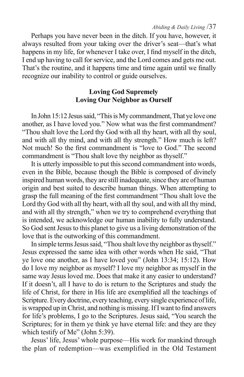Perhaps you have never been in the ditch. If you have, however, it always resulted from your taking over the driver's seat—that's what happens in my life, for whenever I take over, I find myself in the ditch, I end up having to call for service, and the Lord comes and gets me out. That's the routine, and it happens time and time again until we finally recognize our inability to control or guide ourselves.

## **Loving God Supremely Loving Our Neighbor as Ourself**

In John 15:12 Jesus said, "This is My commandment, That ye love one another, as I have loved you." Now what was the first commandment? "Thou shalt love the Lord thy God with all thy heart, with all thy soul, and with all thy mind, and with all thy strength." How much is left? Not much! So the first commandment is "love to God." The second commandment is "Thou shalt love thy neighbor as thyself."

It is utterly impossible to put this second commandment into words, even in the Bible, because though the Bible is composed of divinely inspired human words, they are still inadequate, since they are of human origin and best suited to describe human things. When attempting to grasp the full meaning of the first commandment "Thou shalt love the Lord thy God with all thy heart, with all thy soul, and with all thy mind, and with all thy strength," when we try to comprehend everything that is intended, we acknowledge our human inability to fully understand. So God sent Jesus to this planet to give us a living demonstration of the love that is the outworking of this commandment.

In simple terms Jesus said, "Thou shalt love thy neighbor as thyself." Jesus expressed the same idea with other words when He said, "That ye love one another, as I have loved you" (John 13:34; 15:12). How do I love my neighbor as myself? I love my neighbor as myself in the same way Jesus loved me. Does that make it any easier to understand? If it doesn't, all I have to do is return to the Scriptures and study the life of Christ, for there in His life are exemplified all the teachings of Scripture. Every doctrine, every teaching, every single experience of life, is wrapped up in Christ, and nothing is missing. If I want to find answers for life's problems, I go to the Scriptures. Jesus said, "You search the Scriptures; for in them ye think ye have eternal life: and they are they which testify of Me" (John 5:39).

Jesus' life, Jesus' whole purpose—His work for mankind through the plan of redemption—was exemplified in the Old Testament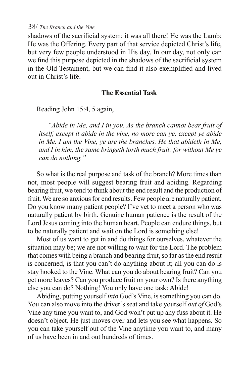shadows of the sacrificial system; it was all there! He was the Lamb; He was the Offering. Every part of that service depicted Christ's life, but very few people understood in His day. In our day, not only can we find this purpose depicted in the shadows of the sacrificial system in the Old Testament, but we can find it also exemplified and lived out in Christ's life.

#### **The Essential Task**

Reading John 15:4, 5 again,

*"Abide in Me, and I in you. As the branch cannot bear fruit of itself, except it abide in the vine, no more can ye, except ye abide in Me. I am the Vine, ye are the branches. He that abideth in Me, and I in him, the same bringeth forth much fruit: for without Me ye can do nothing."*

So what is the real purpose and task of the branch? More times than not, most people will suggest bearing fruit and abiding. Regarding bearing fruit, we tend to think about the end result and the production of fruit. We are so anxious for end results. Few people are naturally patient. Do you know many patient people? I've yet to meet a person who was naturally patient by birth. Genuine human patience is the result of the Lord Jesus coming into the human heart. People can endure things, but to be naturally patient and wait on the Lord is something else!

Most of us want to get in and do things for ourselves, whatever the situation may be; we are not willing to wait for the Lord. The problem that comes with being a branch and bearing fruit, so far as the end result is concerned, is that you can't do anything about it; all you can do is stay hooked to the Vine. What can you do about bearing fruit? Can you get more leaves? Can you produce fruit on your own? Is there anything else you can do? Nothing! You only have one task: Abide!

Abiding, putting yourself *into* God's Vine, is something you can do. You can also move into the driver's seat and take yourself *out of* God's Vine any time you want to, and God won't put up any fuss about it. He doesn't object. He just moves over and lets you see what happens. So you can take yourself out of the Vine anytime you want to, and many of us have been in and out hundreds of times.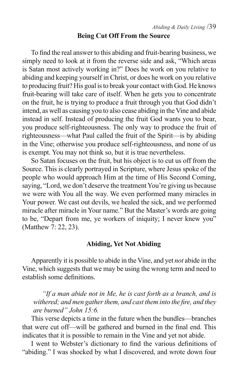#### **Being Cut Off From the Source**

To find the real answer to this abiding and fruit-bearing business, we simply need to look at it from the reverse side and ask, "Which areas is Satan most actively working in?" Does he work on you relative to abiding and keeping yourself in Christ, or does he work on you relative to producing fruit? His goal is to break your contact with God. He knows fruit-bearing will take care of itself. When he gets you to concentrate on the fruit, he is trying to produce a fruit through you that God didn't intend, as well as causing you to also cease abiding in the Vine and abide instead in self. Instead of producing the fruit God wants you to bear, you produce self-righteousness. The only way to produce the fruit of righteousness—what Paul called the fruit of the Spirit—is by abiding in the Vine; otherwise you produce self-righteousness, and none of us is exempt. You may not think so, but it is true nevertheless.

So Satan focuses on the fruit, but his object is to cut us off from the Source. This is clearly portrayed in Scripture, where Jesus spoke of the people who would approach Him at the time of His Second Coming, saying, "Lord, we don't deserve the treatment You're giving us because we were with You all the way. We even performed many miracles in Your power. We cast out devils, we healed the sick, and we performed miracle after miracle in Your name." But the Master's words are going to be, "Depart from me, ye workers of iniquity; I never knew you" (Matthew 7: 22, 23).

### **Abiding, Yet Not Abiding**

Apparently it is possible to abide in the Vine, and yet *not* abide in the Vine, which suggests that we may be using the wrong term and need to establish some definitions.

*"If a man abide not in Me, he is cast forth as a branch, and is withered; and men gather them, and cast them into the fire, and they are burned" John 15:6.*

This verse depicts a time in the future when the bundles—branches that were cut off—will be gathered and burned in the final end. This indicates that it is possible to remain in the Vine and yet not abide.

I went to Webster's dictionary to find the various definitions of "abiding." I was shocked by what I discovered, and wrote down four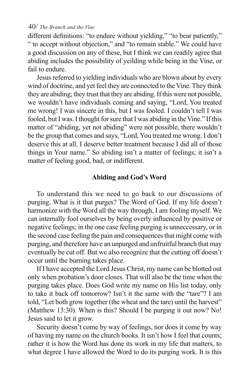different definitions: "to endure without yielding," "to bear patiently," " to accept without objection," and "to remain stable." We could have a good discussion on any of these, but I think we can readily agree that abiding includes the possibility of yeilding while being in the Vine, or fail to endure.

Jesus referred to yielding individuals who are blown about by every wind of doctrine, and yet feel they are connected to the Vine. They think they are abiding; they trust that they are abiding. If this were not possible, we wouldn't have individuals coming and saying, "Lord, You treated me wrong! I was sincere in this, but I was fooled. I couldn't tell I was fooled, but I was. I thought for sure that I was abiding in the Vine." If this matter of "abiding, yet not abiding" were not possible, there wouldn't be the group that comes and says, "Lord, You treated me wrong. I don't deserve this at all. I deserve better treatment because I did all of those things in Your name." So abiding isn't a matter of feelings; it isn't a matter of feeling good, bad, or indifferent.

#### **Abiding and God's Word**

To understand this we need to go back to our discussions of purging. What is it that purges? The Word of God. If my life doesn't harmonize with the Word all the way through, I am fooling myself. We can internally fool ourselves by being overly influenced by positive or negative feelings; in the one case feeling purging is unneccessary, or in the second case feeling the pain and consequences that might come with purging, and therefore have an unpurged and unfruitful branch that may eventually be cut off. But we also recognize that the cutting off doesn't occur until the burning takes place.

If I have accepted the Lord Jesus Christ, my name can be blotted out only when probation's door closes. That will also be the time when the purging takes place. Does God write my name on His list today, only to take it back off tomorrow? Isn't it the same with the "tare"? I am told, "Let both grow together (the wheat and the tare) until the harvest" (Matthew 13:30). When is this? Should I be purging it out now? No! Jesus said to let it grow.

Security doesn't come by way of feelings, nor does it come by way of having my name on the church books. It isn't how I feel that counts; rather it is how the Word has done its work in my life that matters, to what degree I have allowed the Word to do its purging work. It is this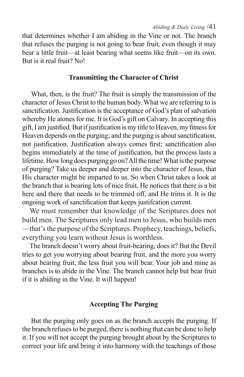that determines whether I am abiding in the Vine or not. The branch that refuses the purging is not going to bear fruit, even though it may bear a little fruit—at least bearing what seems like fruit—on its own. But is it real fruit? No!

## **Transmitting the Character of Christ**

What, then, is the fruit? The fruit is simply the transmission of the character of Jesus Christ to the human body. What we are referring to is sanctification. Justification is the acceptance of God's plan of salvation whereby He atones for me. It is God's gift on Calvary. In accepting this gift, I am justified. But if justification is my title to Heaven, my fitness for Heaven depends on the purging; and the purging is about sanctification, not justification. Justification always comes first; sanctification also begins immediately at the time of justification, but the process lasts a lifetime. How long does purging go on? All the time! What is the purpose of purging? Take us deeper and deeper into the character of Jesus, that His character might be imparted to us. So when Christ takes a look at the branch that is bearing lots of nice fruit, He notices that there is a bit here and there that needs to be trimmed off, and He trims it. It is the ongoing work of sanctification that keeps justifcation current.

We must remember that knowledge of the Scriptures does not build men. The Scriptures only lead men to Jesus, who builds men —that's the purpose of the Scriptures. Prophecy, teachings, beliefs, everything you learn without Jesus is worthless.

The branch doesn't worry about fruit-bearing, does it? But the Devil tries to get you worrying about bearing fruit, and the more you worry about bearing fruit, the less fruit you will bear. Your job and mine as branches is to abide in the Vine. The branch cannot help but bear fruit if it is abiding in the Vine. It will happen!

## **Accepting The Purging**

But the purging only goes on as the branch accepts the purging. If the branch refuses to be purged, there is nothing that can be done to help it. If you will not accept the purging brought about by the Scriptures to correct your life and bring it into harmony with the teachings of those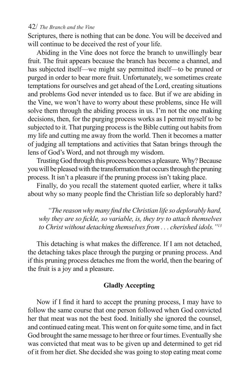Scriptures, there is nothing that can be done. You will be deceived and will continue to be deceived the rest of your life.

Abiding in the Vine does not force the branch to unwillingly bear fruit. The fruit appears because the branch has become a channel, and has subjected itself—we might say permitted itself—to be pruned or purged in order to bear more fruit. Unfortunately, we sometimes create temptations for ourselves and get ahead of the Lord, creating situations and problems God never intended us to face. But if we are abiding in the Vine, we won't have to worry about these problems, since He will solve them through the abiding process in us. I'm not the one making decisions, then, for the purging process works as I permit myself to be subjected to it. That purging process is the Bible cutting out habits from my life and cutting me away from the world. Then it becomes a matter of judging all temptations and activities that Satan brings through the lens of God's Word, and not through my wisdom.

Trusting God through this process becomes a pleasure. Why? Because you will be pleased with the transformation that occurs through the pruning process. It isn't a pleasure if the pruning process isn't taking place.

Finally, do you recall the statement quoted earlier, where it talks about why so many people find the Christian life so deplorably hard?

*"The reason why many find the Christian life so deplorably hard, why they are so fickle, so variable, is, they try to attach themselves to Christ without detaching themselves from . . . cherished idols."13*

This detaching is what makes the difference. If I am not detached, the detaching takes place through the purging or pruning process. And if this pruning process detaches me from the world, then the bearing of the fruit is a joy and a pleasure.

#### **Gladly Accepting**

Now if I find it hard to accept the pruning process, I may have to follow the same course that one person followed when God convicted her that meat was not the best food. Initially she ignored the counsel, and continued eating meat. This went on for quite some time, and in fact God brought the same message to her three or four times. Eventually she was convicted that meat was to be given up and determined to get rid of it from her diet. She decided she was going to stop eating meat come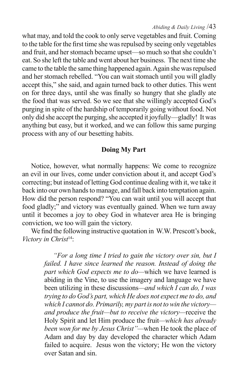what may, and told the cook to only serve vegetables and fruit. Coming to the table for the first time she was repulsed by seeing only vegetables and fruit, and her stomach became upset—so much so that she couldn't eat. So she left the table and went about her business. The next time she came to the table the same thing happened again. Again she was repulsed and her stomach rebelled. "You can wait stomach until you will gladly accept this," she said, and again turned back to other duties. This went on for three days, until she was finally so hungry that she gladly ate the food that was served. So we see that she willingly accepted God's purging in spite of the hardship of temporarily going without food. Not only did she accept the purging, she accepted it joyfully—gladly! It was anything but easy, but it worked, and we can follow this same purging process with any of our besetting habits.

## **Doing My Part**

Notice, however, what normally happens: We come to recognize an evil in our lives, come under conviction about it, and accept God's correcting; but instead of letting God continue dealing with it, we take it back into our own hands to manage, and fall back into temptation again. How did the person respond? "You can wait until you will accept that food gladly;" and victory was eventually gained. When we turn away until it becomes a joy to obey God in whatever area He is bringing conviction, we too will gain the victory.

We find the following instructive quotation in W.W. Prescott's book, *Victory in Christ*14:

> *"For a long time I tried to gain the victory over sin, but I failed. I have since learned the reason. Instead of doing the part which God expects me to do—*which we have learned is abiding in the Vine, to use the imagery and language we have been utilizing in these discussions*—and which I can do, I was trying to do God's part, which He does not expect me to do, and which I cannot do. Primarily, my part is not to win the victory and produce the fruit—but to receive the victory—*receive the Holy Spirit and let Him produce the fruit*—which has already been won for me by Jesus Christ"—*when He took the place of Adam and day by day developed the character which Adam failed to acquire. Jesus won the victory; He won the victory over Satan and sin.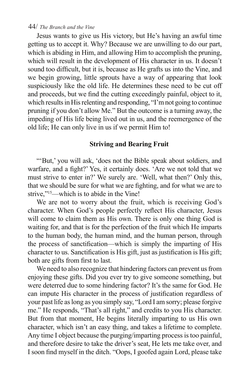Jesus wants to give us His victory, but He's having an awful time getting us to accept it. Why? Because we are unwilling to do our part, which is abiding in Him, and allowing Him to accomplish the pruning, which will result in the development of His character in us. It doesn't sound too difficult, but it is, because as He grafts us into the Vine, and we begin growing, little sprouts have a way of appearing that look suspiciously like the old life. He determines these need to be cut off and proceeds, but we find the cutting exceedingly painful, object to it, which results in His relenting and responding, "I'm not going to continue pruning if you don't allow Me." But the outcome is a turning away, the impeding of His life being lived out in us, and the reemergence of the old life; He can only live in us if we permit Him to!

## **Striving and Bearing Fruit**

"'But,' you will ask, 'does not the Bible speak about soldiers, and warfare, and a fight?' Yes, it certainly does. 'Are we not told that we must strive to enter in?' We surely are. 'Well, what then?' Only this, that we should be sure for what we are fighting, and for what we are to strive,"<sup>15</sup>—which is to abide in the Vine!

We are not to worry about the fruit, which is receiving God's character. When God's people perfectly reflect His character, Jesus will come to claim them as His own. There is only one thing God is waiting for, and that is for the perfection of the fruit which He imparts to the human body, the human mind, and the human person, through the process of sanctification—which is simply the imparting of His character to us. Sanctification is His gift, just as justification is His gift; both are gifts from first to last.

We need to also recognize that hindering factors can prevent us from enjoying these gifts. Did you ever try to give someone something, but were deterred due to some hindering factor? It's the same for God. He can impute His character in the process of justification regardless of your past life as long as you simply say, "Lord I am sorry; please forgive me." He responds, "That's all right," and credits to you His character. But from that moment, He begins literally imparting to us His own character, which isn't an easy thing, and takes a lifetime to complete. Any time I object because the purging/imparting process is too painful, and therefore desire to take the driver's seat, He lets me take over, and I soon find myself in the ditch. "Oops, I goofed again Lord, please take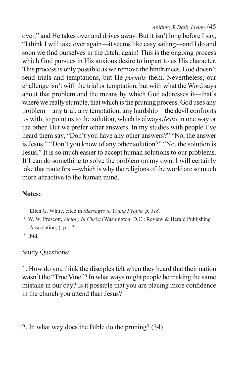over," and He takes over and drives away. But it isn't long before I say, "I think I will take over again—it seems like easy sailing—and I do and soon we find ourselves in the ditch, again! This is the ongoing process which God pursues in His anxious desire to impart to us His character. This process is only possible as we remove the hindrances. God doesn't send trials and temptations, but He *permits* them. Nevertheless, our challenge isn't with the trial or temptation, but with what the Word says about that problem and the means by which God addresses it—that's where we really stumble, that which is the pruning process. God uses any problem—any trial, any temptation, any hardship—the devil confronts us with, to point us to the solution, which is always *Jesus* in one way or the other. But we prefer other answers. In my studies with people I've heard them say, "Don't you have any other answers?" "No, the answer is Jesus." "Don't you know of any other solution?" "No, the solution is Jesus." It is so much easier to accept human solutions to our problems. If I can do something to solve the problem on my own, I will certainly take that route first—which is why the religions of the world are so much more attractive to the human mind.

## **Notes:**

- 13 Ellen G. White, cited in *Messages to Young People, p. 118.*
- 14 W. W. Prescott, *Victory In Christ* (Washington, D.C.: Review & Herald Publishing Association, ), p. 17.

 $15$  Ibid.

Study Questions:

1. How do you think the disciples felt when they heard that their nation wasn't the "True Vine"? In what ways might people be making the same mistake in our day? Is it possible that you are placing more confidence in the church you attend than Jesus?

2. In what way does the Bible do the pruning? (34)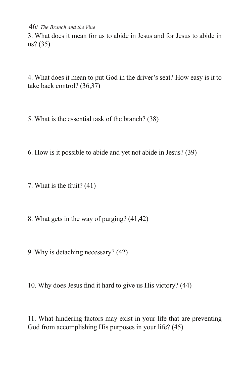3. What does it mean for us to abide in Jesus and for Jesus to abide in us? (35)

4. What does it mean to put God in the driver's seat? How easy is it to take back control? (36,37)

5. What is the essential task of the branch? (38)

6. How is it possible to abide and yet not abide in Jesus? (39)

7. What is the fruit? (41)

- 8. What gets in the way of purging? (41,42)
- 9. Why is detaching necessary? (42)
- 10. Why does Jesus find it hard to give us His victory? (44)

11. What hindering factors may exist in your life that are preventing God from accomplishing His purposes in your life? (45)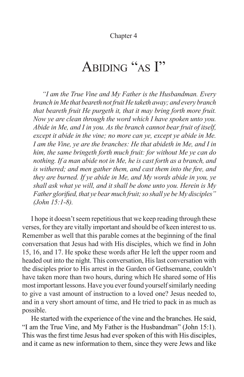Chapter 4

# ABIDING "AS I"

*"I am the True Vine and My Father is the Husbandman. Every branch in Me that beareth not fruit He taketh away; and every branch that beareth fruit He purgeth it, that it may bring forth more fruit. Now ye are clean through the word which I have spoken unto you. Abide in Me, and I in you. As the branch cannot bear fruit of itself, except it abide in the vine; no more can ye, except ye abide in Me. I am the Vine, ye are the branches: He that abideth in Me, and I in him, the same bringeth forth much fruit: for without Me ye can do nothing. If a man abide not in Me, he is cast forth as a branch, and is withered; and men gather them, and cast them into the fire, and they are burned. If ye abide in Me, and My words abide in you, ye shall ask what ye will, and it shall be done unto you. Herein is My Father glorified, that ye bear much fruit; so shall ye be My disciples" (John 15:1-8).*

I hope it doesn't seem repetitious that we keep reading through these verses, for they are vitally important and should be of keen interest to us. Remember as well that this parable comes at the beginning of the final conversation that Jesus had with His disciples, which we find in John 15, 16, and 17. He spoke these words after He left the upper room and headed out into the night. This conversation, His last conversation with the disciples prior to His arrest in the Garden of Gethsemane, couldn't have taken more than two hours, during which He shared some of His most important lessons. Have you ever found yourself similarly needing to give a vast amount of instruction to a loved one? Jesus needed to, and in a very short amount of time, and He tried to pack in as much as possible.

He started with the experience of the vine and the branches. He said, "I am the True Vine, and My Father is the Husbandman" (John 15:1). This was the first time Jesus had ever spoken of this with His disciples, and it came as new information to them, since they were Jews and like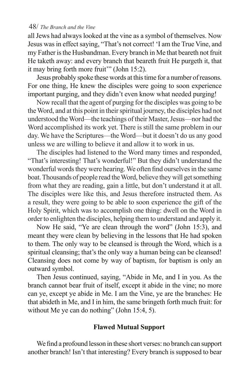all Jews had always looked at the vine as a symbol of themselves. Now Jesus was in effect saying, "That's not correct! 'I am the True Vine, and my Father is the Husbandman. Every branch in Me that beareth not fruit He taketh away: and every branch that beareth fruit He purgeth it, that it may bring forth more fruit'" (John 15:2).

Jesus probably spoke these words at this time for a number of reasons. For one thing, He knew the disciples were going to soon experience important purging, and they didn't even know what needed purging!

Now recall that the agent of purging for the disciples was going to be the Word, and at this point in their spiritual journey, the disciples had not understood the Word—the teachings of their Master, Jesus—nor had the Word accomplished its work yet. There is still the same problem in our day. We have the Scriptures—the Word—but it doesn't do us any good unless we are willing to believe it and allow it to work in us.

The disciples had listened to the Word many times and responded, "That's interesting! That's wonderful!" But they didn't understand the wonderful words they were hearing. We often find ourselves in the same boat. Thousands of people read the Word, believe they will get something from what they are reading, gain a little, but don't understand it at all. The disciples were like this, and Jesus therefore instructed them. As a result, they were going to be able to soon experience the gift of the Holy Spirit, which was to accomplish one thing: dwell on the Word in order to enlighten the disciples, helping them to understand and apply it.

Now He said, "Ye are clean through the word" (John 15:3), and meant they were clean by believing in the lessons that He had spoken to them. The only way to be cleansed is through the Word, which is a spiritual cleansing; that's the only way a human being can be cleansed! Cleansing does not come by way of baptism, for baptism is only an outward symbol.

Then Jesus continued, saying, "Abide in Me, and I in you. As the branch cannot bear fruit of itself, except it abide in the vine; no more can ye, except ye abide in Me. I am the Vine, ye are the branches: He that abideth in Me, and I in him, the same bringeth forth much fruit: for without Me ye can do nothing" (John 15:4, 5).

## **Flawed Mutual Support**

We find a profound lesson in these short verses: no branch can support another branch! Isn't that interesting? Every branch is supposed to bear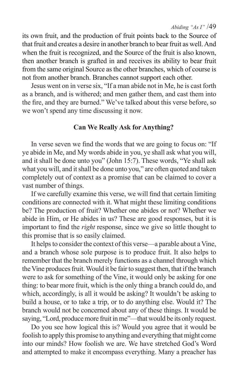its own fruit, and the production of fruit points back to the Source of that fruit and creates a desire in another branch to bear fruit as well. And when the fruit is recognized, and the Source of the fruit is also known, then another branch is grafted in and receives its ability to bear fruit from the same original Source as the other branches, which of course is not from another branch. Branches cannot support each other.

Jesus went on in verse six, "If a man abide not in Me, he is cast forth as a branch, and is withered; and men gather them, and cast them into the fire, and they are burned." We've talked about this verse before, so we won't spend any time discussing it now.

## **Can We Really Ask for Anything?**

In verse seven we find the words that we are going to focus on: "If ye abide in Me, and My words abide in you, ye shall ask what you will, and it shall be done unto you" (John 15:7). These words, "Ye shall ask what you will, and it shall be done unto you," are often quoted and taken completely out of context as a promise that can be claimed to cover a vast number of things.

If we carefully examine this verse, we will find that certain limiting conditions are connected with it. What might these limiting conditions be? The production of fruit? Whether one abides or not? Whether we abide in Him, or He abides in us? These are good responses, but it is important to find the *right* response, since we give so little thought to this promise that is so easily claimed.

It helps to consider the context of this verse—a parable about a Vine, and a branch whose sole purpose is to produce fruit. It also helps to remember that the branch merely functions as a channel through which the Vine produces fruit. Would it be fair to suggest then, that if the branch were to ask for something of the Vine, it would only be asking for one thing: to bear more fruit, which is the only thing a branch could do, and which, accordingly, is all it would be asking? It wouldn't be asking to build a house, or to take a trip, or to do anything else. Would it? The branch would not be concerned about any of these things. It would be saying, "Lord, produce more fruit in me"—that would be its only request.

Do you see how logical this is? Would you agree that it would be foolish to apply this promise to anything and everything that might come into our minds? How foolish we are. We have stretched God's Word and attempted to make it encompass everything. Many a preacher has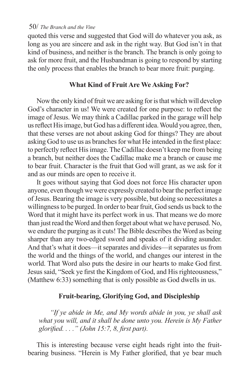quoted this verse and suggested that God will do whatever you ask, as long as you are sincere and ask in the right way. But God isn't in that kind of business, and neither is the branch. The branch is only going to ask for more fruit, and the Husbandman is going to respond by starting the only process that enables the branch to bear more fruit: purging.

## **What Kind of Fruit Are We Asking For?**

Now the only kind of fruit we are asking for is that which will develop God's character in us! We were created for one purpose: to reflect the image of Jesus. We may think a Cadillac parked in the garage will help us reflect His image, but God has a different idea. Would you agree, then, that these verses are not about asking God for things? They are about asking God to use us as branches for what He intended in the first place: to perfectly reflect His image. The Cadillac doesn't keep me from being a branch, but neither does the Cadillac make me a branch or cause me to bear fruit. Character is the fruit that God will grant, as we ask for it and as our minds are open to receive it.

It goes without saying that God does not force His character upon anyone, even though we were expressly created to bear the perfect image of Jesus. Bearing the image is very possible, but doing so necessitates a willingness to be purged. In order to bear fruit, God sends us back to the Word that it might have its perfect work in us. That means we do more than just read the Word and then forget about what we have perused. No, we endure the purging as it cuts! The Bible describes the Word as being sharper than any two-edged sword and speaks of it dividing asunder. And that's what it does—it separates and divides—it separates us from the world and the things of the world, and changes our interest in the world. That Word also puts the desire in our hearts to make God first. Jesus said, "Seek ye first the Kingdom of God, and His righteousness," (Matthew 6:33) something that is only possible as God dwells in us.

## **Fruit-bearing, Glorifying God, and Discipleship**

 *"If ye abide in Me, and My words abide in you, ye shall ask what you will, and it shall be done unto you. Herein is My Father glorified. . . ." (John 15:7, 8, first part).*

This is interesting because verse eight heads right into the fruitbearing business. "Herein is My Father glorified, that ye bear much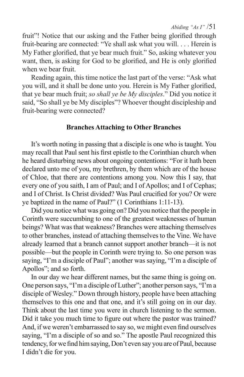*Abiding "As I"* /51

fruit"! Notice that our asking and the Father being glorified through fruit-bearing are connected: "Ye shall ask what you will. . . . Herein is My Father glorified, that ye bear much fruit." So, asking whatever you want, then, is asking for God to be glorified, and He is only glorified when we bear fruit.

Reading again, this time notice the last part of the verse: "Ask what you will, and it shall be done unto you. Herein is My Father glorified, that ye bear much fruit; *so shall ye be My disciples*." Did you notice it said, "So shall ye be My disciples"? Whoever thought discipleship and fruit-bearing were connected?

## **Branches Attaching to Other Branches**

It's worth noting in passing that a disciple is one who is taught. You may recall that Paul sent his first epistle to the Corinthian church when he heard disturbing news about ongoing contentions: "For it hath been declared unto me of you, my brethren, by them which are of the house of Chloe, that there are contentions among you. Now this I say, that every one of you saith, I am of Paul; and I of Apollos; and I of Cephas; and I of Christ. Is Christ divided? Was Paul crucified for you? Or were ye baptized in the name of Paul?" (1 Corinthians 1:11-13).

Did you notice what was going on? Did you notice that the people in Corinth were succumbing to one of the greatest weaknesses of human beings? What was that weakness? Branches were attaching themselves to other branches, instead of attaching themselves to the Vine. We have already learned that a branch cannot support another branch—it is not possible—but the people in Corinth were trying to. So one person was saying, "I'm a disciple of Paul"; another was saying, "I'm a disciple of Apollos"; and so forth.

In our day we hear different names, but the same thing is going on. One person says, "I'm a disciple of Luther"; another person says, "I'm a disciple of Wesley." Down through history, people have been attaching themselves to this one and that one, and it's still going on in our day. Think about the last time you were in church listening to the sermon. Did it take you much time to figure out where the pastor was trained? And, if we weren't embarrassed to say so, we might even find ourselves saying, "I'm a disciple of so and so." The apostle Paul recognized this tendency, for we find him saying, Don't even say you are of Paul, because I didn't die for you.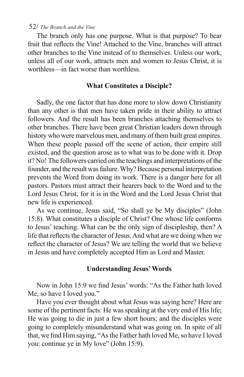The branch only has one purpose. What is that purpose? To bear fruit that reflects the Vine! Attached to the Vine, branches will attract other branches to the Vine instead of to themselves. Unless our work, unless all of our work, attracts men and women to Jesus Christ, it is worthless—in fact worse than worthless.

## **What Constitutes a Disciple?**

Sadly, the one factor that has done more to slow down Christianity than any other is that men have taken pride in their ability to attract followers*.* And the result has been branches attaching themselves to other branches. There have been great Christian leaders down through history who were marvelous men, and many of them built great empires. When these people passed off the scene of action, their empire still existed, and the question arose as to what was to be done with it. Drop it? No! The followers carried on the teachings and interpretations of the founder, and the result was failure. Why? Because personal interpretation prevents the Word from doing its work. There is a danger here for all pastors. Pastors must attract their hearers back to the Word and to the Lord Jesus Christ, for it is in the Word and the Lord Jesus Christ that new life is experienced.

As we continue, Jesus said, "So shall ye be My disciples" (John 15:8). What constitutes a disciple of Christ? One whose life conforms to Jesus' teaching. What can be the only sign of discipleship, then? A life that reflects the character of Jesus. And what are we doing when we reflect the character of Jesus? We are telling the world that we believe in Jesus and have completely accepted Him as Lord and Master.

## **Understanding Jesus' Words**

Now in John 15:9 we find Jesus' words: "As the Father hath loved Me, so have I loved you."

Have you ever thought about what Jesus was saying here? Here are some of the pertinent facts: He was speaking at the very end of His life; He was going to die in just a few short hours; and the disciples were going to completely misunderstand what was going on. In spite of all that, we find Him saying, "As the Father hath loved Me, so have I loved you: continue ye in My love" (John 15:9).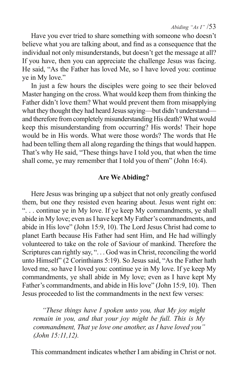*Abiding "As I"* /53

Have you ever tried to share something with someone who doesn't believe what you are talking about, and find as a consequence that the individual not only misunderstands, but doesn't get the message at all? If you have, then you can appreciate the challenge Jesus was facing. He said, "As the Father has loved Me, so I have loved you: continue ye in My love."

In just a few hours the disciples were going to see their beloved Master hanging on the cross. What would keep them from thinking the Father didn't love them? What would prevent them from misapplying what they thought they had heard Jesus saying—but didn't understand and therefore from completely misunderstanding His death? What would keep this misunderstanding from occurring? His words! Their hope would be in His words. What were those words? The words that He had been telling them all along regarding the things that would happen. That's why He said, "These things have I told you, that when the time shall come, ye may remember that I told you of them" (John 16:4).

## **Are We Abiding?**

Here Jesus was bringing up a subject that not only greatly confused them, but one they resisted even hearing about. Jesus went right on: ". . . continue ye in My love. If ye keep My commandments, ye shall abide in My love; even as I have kept My Father's commandments, and abide in His love" (John 15:9, 10). The Lord Jesus Christ had come to planet Earth because His Father had sent Him, and He had willingly volunteered to take on the role of Saviour of mankind. Therefore the Scriptures can rightly say, "... God was in Christ, reconciling the world unto Himself" (2 Corinthians 5:19). So Jesus said, "As the Father hath loved me, so have I loved you: continue ye in My love. If ye keep My commandments, ye shall abide in My love; even as I have kept My Father's commandments, and abide in His love" (John 15:9, 10). Then Jesus proceeded to list the commandments in the next few verses:

*"These things have I spoken unto you, that My joy might remain in you, and that your joy might be full. This is My commandment, That ye love one another, as I have loved you" (John 15:11,12).*

This commandment indicates whether I am abiding in Christ or not.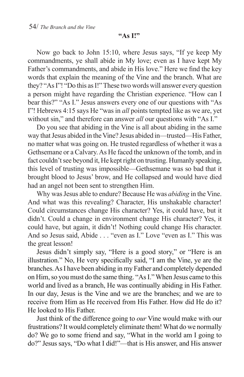**"As I!"**

Now go back to John 15:10, where Jesus says, "If ye keep My commandments, ye shall abide in My love; even as I have kept My Father's commandments, and abide in His love." Here we find the key words that explain the meaning of the Vine and the branch. What are they? "As I"! "Do this as I!" These two words will answer every question a person might have regarding the Christian experience. "How can I bear this?" "As I." Jesus answers every one of our questions with "As I"! Hebrews 4:15 says He "was in *all* points tempted like as we are, yet without sin," and therefore can answer *all* our questions with "As I."

Do you see that abiding in the Vine is all about abiding in the same way that Jesus abided in the Vine? Jesus abided in—trusted—His Father, no matter what was going on. He trusted regardless of whether it was a Gethsemane or a Calvary. As He faced the unknown of the tomb, and in fact couldn't see beyond it, He kept right on trusting. Humanly speaking, this level of trusting was impossible—Gethsemane was so bad that it brought blood to Jesus' brow, and He collapsed and would have died had an angel not been sent to strengthen Him.

Why was Jesus able to endure? Because He was *abiding* in the Vine. And what was this revealing? Character, His unshakable character! Could circumstances change His character? Yes, it could have, but it didn't. Could a change in environment change His character? Yes, it could have, but again, it didn't! Nothing could change His character. And so Jesus said, Abide . . . "even as I." Love "even as I." This was the great lesson!

Jesus didn't simply say, "Here is a good story," or "Here is an illustration." No, He very specifically said, "I am the Vine, ye are the branches. As I have been abiding in my Father and completely depended on Him, so you must do the same thing. "As I." When Jesus came to this world and lived as a branch, He was continually abiding in His Father. In our day, Jesus is the Vine and we are the branches; and we are to receive from Him as He received from His Father. How did He do it? He looked to His Father.

Just think of the difference going to *our* Vine would make with our frustrations? It would completely eliminate them! What do we normally do? We go to some friend and say, "What in the world am I going to do?" Jesus says, "Do what I did!"—that is His answer, and His answer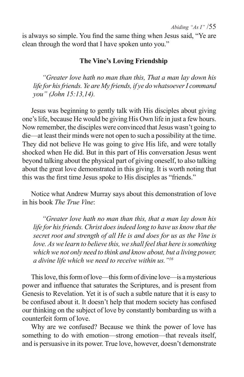is always so simple. You find the same thing when Jesus said, "Ye are clean through the word that I have spoken unto you."

## **The Vine's Loving Friendship**

*"Greater love hath no man than this, That a man lay down his life for his friends. Ye are My friends, if ye do whatsoever I command you" (John 15:13,14).*

Jesus was beginning to gently talk with His disciples about giving one's life, because He would be giving His Own life in just a few hours. Now remember, the disciples were convinced that Jesus wasn't going to die—at least their minds were not open to such a possibility at the time. They did not believe He was going to give His life, and were totally shocked when He did. But in this part of His conversation Jesus went beyond talking about the physical part of giving oneself, to also talking about the great love demonstrated in this giving. It is worth noting that this was the first time Jesus spoke to His disciples as "friends."

Notice what Andrew Murray says about this demonstration of love in his book *The True Vine*:

*"Greater love hath no man than this, that a man lay down his life for his friends. Christ does indeed long to have us know that the secret root and strength of all He is and does for us as the Vine is love. As we learn to believe this, we shall feel that here is something which we not only need to think and know about, but a living power, a divine life which we need to receive within us."16*

This love, this form of love—this form of divine love—is a mysterious power and influence that saturates the Scriptures, and is present from Genesis to Revelation. Yet it is of such a subtle nature that it is easy to be confused about it. It doesn't help that modern society has confused our thinking on the subject of love by constantly bombarding us with a counterfeit form of love.

Why are we confused? Because we think the power of love has something to do with emotion—strong emotion—that reveals itself, and is persuasive in its power. True love, however, doesn't demonstrate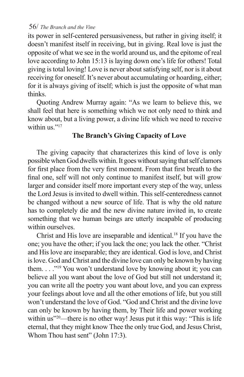its power in self-centered persuasiveness, but rather in giving itself; it doesn't manifest itself in receiving, but in giving. Real love is just the opposite of what we see in the world around us, and the epitome of real love according to John 15:13 is laying down one's life for others! Total giving is total loving! Love is never about satisfying self, nor is it about receiving for oneself. It's never about accumulating or hoarding, either; for it is always giving of itself; which is just the opposite of what man thinks.

Quoting Andrew Murray again: "As we learn to believe this, we shall feel that here is something which we not only need to think and know about, but a living power, a divine life which we need to receive within us."<sup>17</sup>

## **The Branch's Giving Capacity of Love**

The giving capacity that characterizes this kind of love is only possible when God dwells within. It goes without saying that self clamors for first place from the very first moment. From that first breath to the final one, self will not only continue to manifest itself, but will grow larger and consider itself more important every step of the way, unless the Lord Jesus is invited to dwell within. This self-centeredness cannot be changed without a new source of life. That is why the old nature has to completely die and the new divine nature invited in, to create something that we human beings are utterly incapable of producing within ourselves.

Christ and His love are inseparable and identical.<sup>18</sup> If you have the one; you have the other; if you lack the one; you lack the other. "Christ and His love are inseparable; they are identical. God is love, and Christ is love. God and Christ and the divine love can only be known by having them. . . ."19 You won't understand love by knowing about it; you can believe all you want about the love of God but still not understand it; you can write all the poetry you want about love, and you can express your feelings about love and all the other emotions of life, but you still won't understand the love of God. "God and Christ and the divine love can only be known by having them, by Their life and power working within us"<sup>20</sup>—there is no other way! Jesus put it this way: "This is life eternal, that they might know Thee the only true God, and Jesus Christ, Whom Thou hast sent" (John 17:3).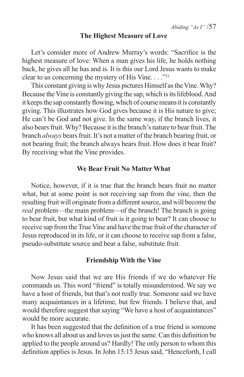#### **The Highest Measure of Love**

Let's consider more of Andrew Murray's words: "Sacrifice is the highest measure of love: When a man gives his life, he holds nothing back, he gives all he has and is. It is this our Lord Jesus wants to make clear to us concerning the mystery of His Vine. . . ."21

This constant giving is why Jesus pictures Himself as the Vine. Why? Because the Vine is constantly giving the sap, which is its lifeblood. And it keeps the sap constantly flowing, which of course means it is constantly giving. This illustrates how God gives because it is His nature to give; He can't be God and not give. In the same way, if the branch lives, it also bears fruit. Why? Because it is the branch's nature to bear fruit. The branch *always* bears fruit. It's not a matter of the branch bearing fruit, or not bearing fruit; the branch always bears fruit. How does it bear fruit? By receiving what the Vine provides.

#### **We Bear Fruit No Matter What**

Notice, however, if it is true that the branch bears fruit no matter what, but at some point is not receiving sap from the vine, then the resulting fruit will originate from a different source, and will become the *real* problem—the main problem—of the branch! The branch is going to bear fruit, but what kind of fruit is it going to bear? It can choose to receive sap from the True Vine and have the true fruit of the character of Jesus reproduced in its life, or it can choose to receive sap from a false, pseudo-substitute source and bear a false, substitute fruit.

### **Friendship With the Vine**

Now Jesus said that we are His friends if we do whatever He commands us. This word "friend" is totally misunderstood. We say we have a host of friends, but that's not really true. Someone said we have many acquaintances in a lifetime, but few friends. I believe that, and would therefore suggest that saying "We have a host of acquaintances" would be more accurate.

It has been suggested that the definition of a true friend is someone who knows all about us and loves us just the same. Can this definition be applied to the people around us? Hardly! The only person to whom this definition applies is Jesus. In John 15:15 Jesus said, "Henceforth, I call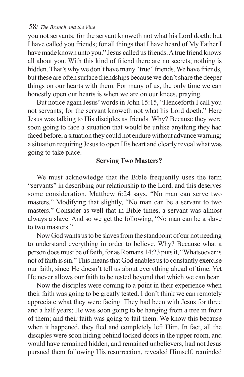you not servants; for the servant knoweth not what his Lord doeth: but I have called you friends; for all things that I have heard of My Father I have made known unto you." Jesus called us friends. A true friend knows all about you. With this kind of friend there are no secrets; nothing is hidden. That's why we don't have many "true" friends. We have friends, but these are often surface friendships because we don't share the deeper things on our hearts with them. For many of us, the only time we can honestly open our hearts is when we are on our knees, praying.

But notice again Jesus' words in John 15:15, "Henceforth I call you not servants; for the servant knoweth not what his Lord doeth." Here Jesus was talking to His disciples as friends. Why? Because they were soon going to face a situation that would be unlike anything they had faced before; a situation they could not endure without advance warning; a situation requiring Jesus to open His heart and clearly reveal what was going to take place.

## **Serving Two Masters?**

We must acknowledge that the Bible frequently uses the term "servants" in describing our relationship to the Lord, and this deserves some consideration. Matthew 6:24 says, "No man can serve two masters." Modifying that slightly, "No man can be a servant to two masters." Consider as well that in Bible times, a servant was almost always a slave. And so we get the following, "No man can be a slave to two masters."

Now God wants us to be slaves from the standpoint of our not needing to understand everything in order to believe. Why? Because what a person does must be of faith, for as Romans 14:23 puts it, "Whatsoever is not of faith is sin." This means that God enables us to constantly exercise our faith, since He doesn't tell us about everything ahead of time. Yet He never allows our faith to be tested beyond that which we can bear.

Now the disciples were coming to a point in their experience when their faith was going to be greatly tested. I don't think we can remotely appreciate what they were facing: They had been with Jesus for three and a half years; He was soon going to be hanging from a tree in front of them; and their faith was going to fail them. We know this because when it happened, they fled and completely left Him. In fact, all the disciples were soon hiding behind locked doors in the upper room, and would have remained hidden, and remained unbelievers, had not Jesus pursued them following His resurrection, revealed Himself, reminded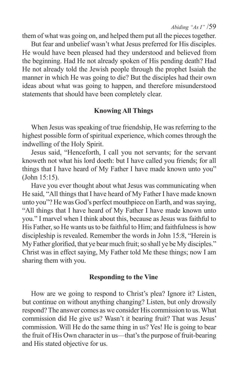them of what was going on, and helped them put all the pieces together.

But fear and unbelief wasn't what Jesus preferred for His disciples. He would have been pleased had they understood and believed from the beginning. Had He not already spoken of His pending death? Had He not already told the Jewish people through the prophet Isaiah the manner in which He was going to die? But the disciples had their own ideas about what was going to happen, and therefore misunderstood statements that should have been completely clear.

## **Knowing All Things**

When Jesus was speaking of true friendship, He was referring to the highest possible form of spiritual experience, which comes through the indwelling of the Holy Spirit.

Jesus said, "Henceforth, I call you not servants; for the servant knoweth not what his lord doeth: but I have called you friends; for all things that I have heard of My Father I have made known unto you" (John 15:15).

Have you ever thought about what Jesus was communicating when He said, "All things that I have heard of My Father I have made known unto you"? He was God's perfect mouthpiece on Earth, and was saying, "All things that I have heard of My Father I have made known unto you." I marvel when I think about this, because as Jesus was faithful to His Father, so He wants us to be faithful to Him; and faithfulness is how discipleship is revealed. Remember the words in John 15:8, "Herein is My Father glorified, that ye bear much fruit; so shall ye be My disciples." Christ was in effect saying, My Father told Me these things; now I am sharing them with you.

#### **Responding to the Vine**

How are we going to respond to Christ's plea? Ignore it? Listen, but continue on without anything changing? Listen, but only drowsily respond? The answer comes as we consider His commission to us. What commission did He give us? Wasn't it bearing fruit? That was Jesus' commission. Will He do the same thing in us? Yes! He is going to bear the fruit of His Own character in us—that's the purpose of fruit-bearing and His stated objective for us.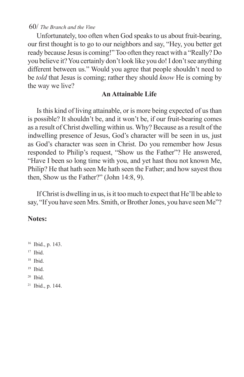Unfortunately, too often when God speaks to us about fruit-bearing, our first thought is to go to our neighbors and say, "Hey, you better get ready because Jesus is coming!" Too often they react with a "Really? Do you believe it? You certainly don't look like you do! I don't see anything different between us." Would you agree that people shouldn't need to be *told* that Jesus is coming; rather they should *know* He is coming by the way we live?

## **An Attainable Life**

Is this kind of living attainable, or is more being expected of us than is possible? It shouldn't be, and it won't be, if our fruit-bearing comes as a result of Christ dwelling within us. Why? Because as a result of the indwelling presence of Jesus, God's character will be seen in us, just as God's character was seen in Christ. Do you remember how Jesus responded to Philip's request, "Show us the Father"? He answered, "Have I been so long time with you, and yet hast thou not known Me, Philip? He that hath seen Me hath seen the Father; and how sayest thou then, Show us the Father?" (John 14:8, 9).

If Christ is dwelling in us, is it too much to expect that He'll be able to say, "If you have seen Mrs. Smith, or Brother Jones, you have seen Me"?

#### **Notes:**

16 Ibid., p. 143.

- $17$  Ibid.
- 18 Ibid.
- 19 Ibid.
- $20$  Ibid.
- 21 Ibid., p. 144.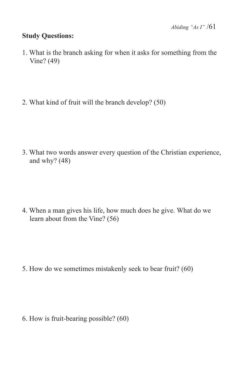## **Study Questions:**

- 1. What is the branch asking for when it asks for something from the Vine? (49)
- 2. What kind of fruit will the branch develop? (50)

3. What two words answer every question of the Christian experience, and why? (48)

4. When a man gives his life, how much does he give. What do we learn about from the Vine? (56)

5. How do we sometimes mistakenly seek to bear fruit? (60)

6. How is fruit-bearing possible? (60)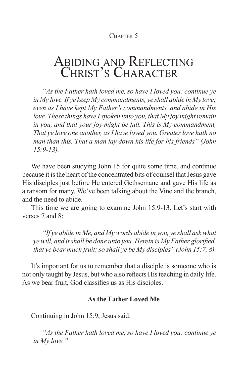CHAPTER<sub>5</sub>

## ABIDING AND REFLECTING CHRIST'S CHARACTER

*"As the Father hath loved me, so have I loved you: continue ye in My love. If ye keep My commandments, ye shall abide in My love; even as I have kept My Father's commandments, and abide in His love. These things have I spoken unto you, that My joy might remain in you, and that your joy might be full. This is My commandment, That ye love one another, as I have loved you. Greater love hath no man than this, That a man lay down his life for his friends" (John 15:9-13).*

We have been studying John 15 for quite some time, and continue because it is the heart of the concentrated bits of counsel that Jesus gave His disciples just before He entered Gethsemane and gave His life as a ransom for many. We've been talking about the Vine and the branch, and the need to abide.

This time we are going to examine John 15:9-13. Let's start with verses 7 and 8:

*"If ye abide in Me, and My words abide in you, ye shall ask what ye will, and it shall be done unto you. Herein is My Father glorified, that ye bear much fruit; so shall ye be My disciples" (John 15:7, 8).*

It's important for us to remember that a disciple is someone who is not only taught by Jesus, but who also reflects His teaching in daily life. As we bear fruit, God classifies us as His disciples.

## **As the Father Loved Me**

Continuing in John 15:9, Jesus said:

*"As the Father hath loved me, so have I loved you: continue ye in My love."*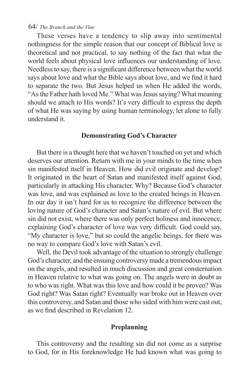These verses have a tendency to slip away into sentimental nothingness for the simple reason that our concept of Biblical love is theoretical and not practical, to say nothing of the fact that what the world feels about physical love influences our understanding of love. Needless to say, there is a significant difference between what the world says about love and what the Bible says about love, and we find it hard to separate the two. But Jesus helped us when He added the words, "As the Father hath loved Me." What was Jesus saying? What meaning should we attach to His words? It's very difficult to express the depth of what He was saying by using human terminology, let alone to fully understand it.

#### **Demonstrating God's Character**

But there is a thought here that we haven't touched on yet and which deserves our attention. Return with me in your minds to the time when sin manifested itself in Heaven. How did evil originate and develop? It originated in the heart of Satan and manifested itself against God, particularly in attacking His character. Why? Because God's character was love, and was explained as love to the created beings in Heaven. In our day it isn't hard for us to recognize the difference between the loving nature of God's character and Satan's nature of evil. But where sin did not exist, where there was only perfect holiness and innocence, explaining God's character of love was very difficult. God could say, "My character is love," but so could the angelic beings, for there was no way to compare God's love with Satan's evil.

Well, the Devil took advantage of the situation to strongly challenge God's character, and the ensuing controversy made a tremendous impact on the angels, and resulted in much discussion and great consternation in Heaven relative to what was going on. The angels were in doubt as to who was right. What was this love and how could it be proven? Was God right? Was Satan right? Eventually war broke out in Heaven over this controversy, and Satan and those who sided with him were cast out, as we find described in Revelation 12.

## **Preplanning**

This controversy and the resulting sin did not come as a surprise to God, for in His foreknowledge He had known what was going to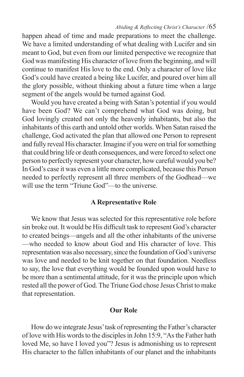happen ahead of time and made preparations to meet the challenge. We have a limited understanding of what dealing with Lucifer and sin meant to God, but even from our limited perspective we recognize that God was manifesting His character of love from the beginning, and will continue to manifest His love to the end. Only a character of love like God's could have created a being like Lucifer, and poured over him all the glory possible, without thinking about a future time when a large segment of the angels would be turned against God.

Would you have created a being with Satan's potential if you would have been God? We can't comprehend what God was doing, but God lovingly created not only the heavenly inhabitants, but also the inhabitants of this earth and untold other worlds. When Satan raised the challenge, God activated the plan that allowed one Person to represent and fully reveal His character. Imagine if you were on trial for something that could bring life or death consequences, and were forced to select one person to perfectly represent your character, how careful would you be? In God's case it was even a little more complicated, because this Person needed to perfectly represent all three members of the Godhead—we will use the term "Triune God"—to the universe.

## **A Representative Role**

We know that Jesus was selected for this representative role before sin broke out. It would be His difficult task to represent God's character to created beings—angels and all the other inhabitants of the universe —who needed to know about God and His character of love. This representation was also necessary, since the foundation of God's universe was love and needed to be knit together on that foundation. Needless to say, the love that everything would be founded upon would have to be more than a sentimental attitude, for it was the principle upon which rested all the power of God. The Triune God chose Jesus Christ to make that representation.

## **Our Role**

How do we integrate Jesus' task of representing the Father's character of love with His words to the disciples in John 15:9, "As the Father hath loved Me, so have I loved you"? Jesus is admonishing us to represent His character to the fallen inhabitants of our planet and the inhabitants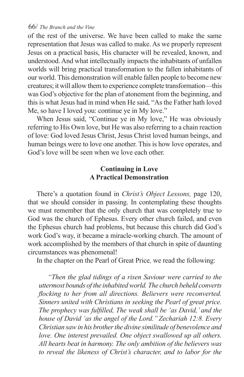of the rest of the universe. We have been called to make the same representation that Jesus was called to make. As we properly represent Jesus on a practical basis, His character will be revealed, known, and understood. And what intellectually impacts the inhabitants of unfallen worlds will bring practical transformation to the fallen inhabitants of our world. This demonstration will enable fallen people to become new creatures; it will allow them to experience complete transformation—this was God's objective for the plan of atonement from the beginning, and this is what Jesus had in mind when He said, "As the Father hath loved Me, so have I loved you: continue ye in My love."

When Jesus said, "Continue ye in My love," He was obviously referring to His Own love, but He was also referring to a chain reaction of love: God loved Jesus Christ, Jesus Christ loved human beings, and human beings were to love one another. This is how love operates, and God's love will be seen when we love each other.

## **Continuing in Love A Practical Demonstration**

There's a quotation found in *Christ's Object Lessons,* page 120, that we should consider in passing. In contemplating these thoughts we must remember that the only church that was completely true to God was the church of Ephesus. Every other church failed, and even the Ephesus church had problems, but because this church did God's work God's way, it became a miracle-working church. The amount of work accomplished by the members of that church in spite of daunting circumstances was phenomenal!

In the chapter on the Pearl of Great Price*,* we read the following:

*"Then the glad tidings of a risen Saviour were carried to the uttermost bounds of the inhabited world. The church beheld converts flocking to her from all directions. Believers were reconverted. Sinners united with Christians in seeking the Pearl of great price. The prophecy was fulfilled, The weak shall be 'as David,' and the house of David 'as the angel of the Lord.'' Zechariah 12:8. Every Christian saw in his brother the divine similitude of benevolence and love. One interest prevailed. One object swallowed up all others. All hearts beat in harmony. The only ambition of the believers was to reveal the likeness of Christ's character, and to labor for the*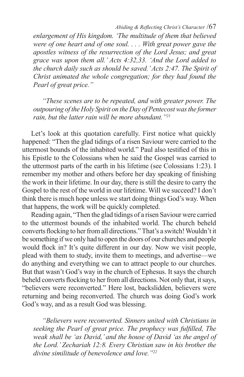*Abiding & Reflecting Christ's Character* /67

*enlargement of His kingdom. 'The multitude of them that believed were of one heart and of one soul. . . . With great power gave the apostles witness of the resurrection of the Lord Jesus; and great grace was upon them all.' Acts 4:32,33. 'And the Lord added to the church daily such as should be saved.' Acts 2:47. The Spirit of Christ animated the whole congregation; for they had found the Pearl of great price."*

*"These scenes are to be repeated, and with greater power. The outpouring of the Holy Spirit on the Day of Pentecost was the former rain, but the latter rain will be more abundant."21*

Let's look at this quotation carefully. First notice what quickly happened: "Then the glad tidings of a risen Saviour were carried to the uttermost bounds of the inhabited world." Paul also testified of this in his Epistle to the Colossians when he said the Gospel was carried to the uttermost parts of the earth in his lifetime (see Colossians 1:23). I remember my mother and others before her day speaking of finishing the work in their lifetime. In our day, there is still the desire to carry the Gospel to the rest of the world in our lifetime. Will we succeed? I don't think there is much hope unless we start doing things God's way. When that happens, the work will be quickly completed.

Reading again, "Then the glad tidings of a risen Saviour were carried to the uttermost bounds of the inhabited world. The church beheld converts flocking to her from all directions." That's a switch! Wouldn't it be something if we only had to open the doors of our churches and people would flock in? It's quite different in our day. Now we visit people, plead with them to study, invite them to meetings, and advertise—we do anything and everything we can to attract people to our churches. But that wasn't God's way in the church of Ephesus. It says the church beheld converts flocking to her from all directions. Not only that, it says, "believers were reconverted." Here lost, backslidden, believers were returning and being reconverted. The church was doing God's work God's way, and as a result God was blessing.

*"Believers were reconverted. Sinners united with Christians in seeking the Pearl of great price. The prophecy was fulfilled, The weak shall be 'as David,' and the house of David 'as the angel of the Lord.' Zechariah 12:8. Every Christian saw in his brother the divine similitude of benevolence and love."22*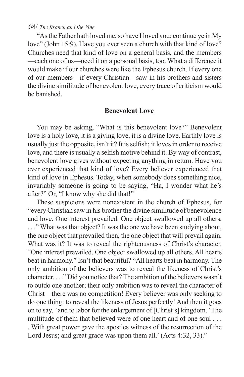"As the Father hath loved me, so have I loved you: continue ye in My love" (John 15:9). Have you ever seen a church with that kind of love? Churches need that kind of love on a general basis, and the members —each one of us—need it on a personal basis, too. What a difference it would make if our churches were like the Ephesus church. If every one of our members—if every Christian—saw in his brothers and sisters the divine similitude of benevolent love, every trace of criticism would be banished.

#### **Benevolent Love**

You may be asking, "What is this benevolent love?" Benevolent love is a holy love, it is a giving love, it is a divine love. Earthly love is usually just the opposite, isn't it? It is selfish; it loves in order to receive love, and there is usually a selfish motive behind it. By way of contrast, benevolent love gives without expecting anything in return. Have you ever experienced that kind of love? Every believer experienced that kind of love in Ephesus. Today, when somebody does something nice, invariably someone is going to be saying, "Ha, I wonder what he's after?" Or, "I know why she did that!"

These suspicions were nonexistent in the church of Ephesus, for "every Christian saw in his brother the divine similitude of benevolence and love. One interest prevailed. One object swallowed up all others. . . ." What was that object? It was the one we have been studying about, the one object that prevailed then, the one object that will prevail again. What was it? It was to reveal the righteousness of Christ's character. "One interest prevailed. One object swallowed up all others. All hearts beat in harmony." Isn't that beautiful? "All hearts beat in harmony. The only ambition of the believers was to reveal the likeness of Christ's character. . . ." Did you notice that? The ambition of the believers wasn't to outdo one another; their only ambition was to reveal the character of Christ—there was no competition! Every believer was only seeking to do one thing: to reveal the likeness of Jesus perfectly! And then it goes on to say, "and to labor for the enlargement of [Christ's] kingdom. 'The multitude of them that believed were of one heart and of one soul ... . With great power gave the apostles witness of the resurrection of the Lord Jesus; and great grace was upon them all.' (Acts 4:32, 33)."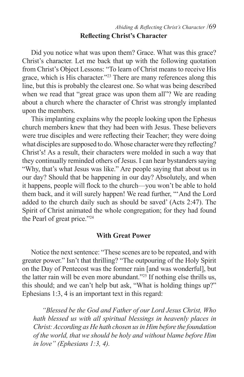Did you notice what was upon them? Grace. What was this grace? Christ's character. Let me back that up with the following quotation from Christ's Object Lessons: "To learn of Christ means to receive His grace, which is His character."23 There are many references along this line, but this is probably the clearest one. So what was being described when we read that "great grace was upon them all"? We are reading about a church where the character of Christ was strongly implanted upon the members.

This implanting explains why the people looking upon the Ephesus church members knew that they had been with Jesus. These believers were true disciples and were reflecting their Teacher; they were doing what disciples are supposed to do. Whose character were they reflecting? Christ's! As a result, their characters were molded in such a way that they continually reminded others of Jesus. I can hear bystanders saying "Why, that's what Jesus was like." Are people saying that about us in our day? Should that be happening in our day? Absolutely, and when it happens, people will flock to the church—you won't be able to hold them back, and it will surely happen! We read further, "'And the Lord added to the church daily such as should be saved' (Acts 2:47). The Spirit of Christ animated the whole congregation; for they had found the Pearl of great price."24

## **With Great Power**

Notice the next sentence: "These scenes are to be repeated, and with greater power." Isn't that thrilling? "The outpouring of the Holy Spirit on the Day of Pentecost was the former rain [and was wonderful], but the latter rain will be even more abundant."25 If nothing else thrills us, this should; and we can't help but ask, "What is holding things up?" Ephesians 1:3, 4 is an important text in this regard:

*"Blessed be the God and Father of our Lord Jesus Christ, Who hath blessed us with all spiritual blessings in heavenly places in Christ: According as He hath chosen us in Him before the foundation of the world, that we should be holy and without blame before Him in love" (Ephesians 1:3, 4).*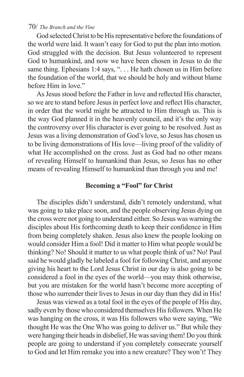God selected Christ to be His representative before the foundations of the world were laid. It wasn't easy for God to put the plan into motion. God struggled with the decision. But Jesus volunteered to represent God to humankind, and now we have been chosen in Jesus to do the same thing. Ephesians 1:4 says, "... He hath chosen us in Him before the foundation of the world, that we should be holy and without blame before Him in love."

As Jesus stood before the Father in love and reflected His character, so we are to stand before Jesus in perfect love and reflect His character, in order that the world might be attracted to Him through us. This is the way God planned it in the heavenly council, and it's the only way the controversy over His character is ever going to be resolved. Just as Jesus was a living demonstration of God's love, so Jesus has chosen us to be living demonstrations of His love—living proof of the validity of what He accomplished on the cross. Just as God had no other means of revealing Himself to humankind than Jesus, so Jesus has no other means of revealing Himself to humankind than through you and me!

#### **Becoming a "Fool" for Christ**

The disciples didn't understand, didn't remotely understand, what was going to take place soon, and the people observing Jesus dying on the cross were not going to understand either. So Jesus was warning the disciples about His forthcoming death to keep their confidence in Him from being completely shaken. Jesus also knew the people looking on would consider Him a fool! Did it matter to Him what people would be thinking? No! Should it matter to us what people think of us? No! Paul said he would gladly be labeled a fool for following Christ, and anyone giving his heart to the Lord Jesus Christ in our day is also going to be considered a fool in the eyes of the world—you may think otherwise, but you are mistaken for the world hasn't become more accepting of those who surrender their lives to Jesus in our day than they did in His!

Jesus was viewed as a total fool in the eyes of the people of His day, sadly even by those who considered themselves His followers. When He was hanging on the cross, it was His followers who were saying, "We thought He was the One Who was going to deliver us." But while they were hanging their heads in disbelief, He was saving them! Do you think people are going to understand if you completely consecrate yourself to God and let Him remake you into a new creature? They won't! They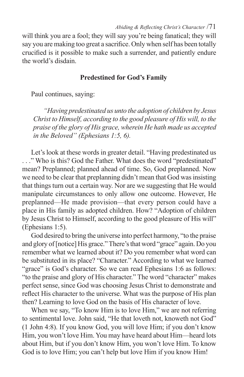will think you are a fool; they will say you're being fanatical; they will say you are making too great a sacrifice. Only when self has been totally crucified is it possible to make such a surrender, and patiently endure the world's disdain.

## **Predestined for God's Family**

Paul continues, saying:

 *"Having predestinated us unto the adoption of children by Jesus Christ to Himself, according to the good pleasure of His will, to the praise of the glory of His grace, wherein He hath made us accepted in the Beloved" (Ephesians 1:5, 6).*

Let's look at these words in greater detail. "Having predestinated us . . ." Who is this? God the Father. What does the word "predestinated" mean? Preplanned; planned ahead of time. So, God preplanned. Now we need to be clear that preplanning didn't mean that God was insisting that things turn out a certain way. Nor are we suggesting that He would manipulate circumstances to only allow one outcome. However, He preplanned—He made provision—that every person could have a place in His family as adopted children. How? "Adoption of children by Jesus Christ to Himself, according to the good pleasure of His will" (Ephesians 1:5).

God desired to bring the universe into perfect harmony, "to the praise and glory of [notice] His grace." There's that word "grace" again. Do you remember what we learned about it? Do you remember what word can be substituted in its place? "Character." According to what we learned "grace" is God's character. So we can read Ephesians 1:6 as follows: "to the praise and glory of His character." The word "character" makes perfect sense, since God was choosing Jesus Christ to demonstrate and reflect His character to the universe. What was the purpose of His plan then? Learning to love God on the basis of His character of love.

When we say, "To know Him is to love Him," we are not referring to sentimental love. John said, "He that loveth not, knoweth not God" (1 John 4:8). If you know God, you will love Him; if you don't know Him, you won't love Him. You may have heard about Him—heard lots about Him, but if you don't know Him, you won't love Him. To know God is to love Him; you can't help but love Him if you know Him!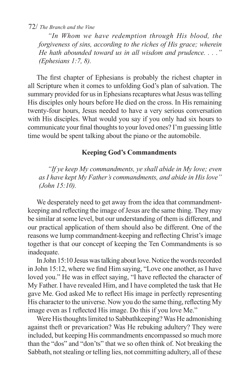*"In Whom we have redemption through His blood, the forgiveness of sins, according to the riches of His grace; wherein He hath abounded toward us in all wisdom and prudence. . . ." (Ephesians 1:7, 8).*

The first chapter of Ephesians is probably the richest chapter in all Scripture when it comes to unfolding God's plan of salvation. The summary provided for us in Ephesians recaptures what Jesus was telling His disciples only hours before He died on the cross. In His remaining twenty-four hours, Jesus needed to have a very serious conversation with His disciples. What would you say if you only had six hours to communicate your final thoughts to your loved ones? I'm guessing little time would be spent talking about the piano or the automobile.

## **Keeping God's Commandments**

*"If ye keep My commandments, ye shall abide in My love; even as I have kept My Father's commandments, and abide in His love" (John 15:10).*

We desperately need to get away from the idea that commandmentkeeping and reflecting the image of Jesus are the same thing. They may be similar at some level, but our understanding of them is different, and our practical application of them should also be different. One of the reasons we lump commandment-keeping and reflecting Christ's image together is that our concept of keeping the Ten Commandments is so inadequate.

In John 15:10 Jesus was talking about love. Notice the words recorded in John 15:12, where we find Him saying, "Love one another, as I have loved you." He was in effect saying, "I have reflected the character of My Father. I have revealed Him, and I have completed the task that He gave Me. God asked Me to reflect His image in perfectly representing His character to the universe. Now you do the same thing, reflecting My image even as I reflected His image. Do this if you love Me."

Were His thoughts limited to Sabbathkeeping? Was He admonishing against theft or prevarication? Was He rebuking adultery? They were included, but keeping His commandments encompassed so much more than the "dos" and "don'ts" that we so often think of. Not breaking the Sabbath, not stealing or telling lies, not committing adultery, all of these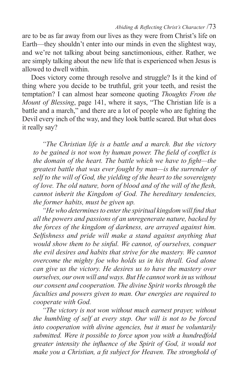*Abiding & Reflecting Christ's Character* /73

are to be as far away from our lives as they were from Christ's life on Earth—they shouldn't enter into our minds in even the slightest way, and we're not talking about being sanctimonious, either. Rather, we are simply talking about the new life that is experienced when Jesus is allowed to dwell within.

Does victory come through resolve and struggle? Is it the kind of thing where you decide to be truthful, grit your teeth, and resist the temptation? I can almost hear someone quoting *Thoughts From the Mount of Blessing*, page 141, where it says, "The Christian life is a battle and a march," and there are a lot of people who are fighting the Devil every inch of the way, and they look battle scared. But what does it really say?

*"The Christian life is a battle and a march. But the victory to be gained is not won by human power. The field of conflict is the domain of the heart. The battle which we have to fight—the greatest battle that was ever fought by man—is the surrender of self to the will of God, the yielding of the heart to the sovereignty of love. The old nature, born of blood and of the will of the flesh, cannot inherit the Kingdom of God. The hereditary tendencies, the former habits, must be given up.*

*"He who determines to enter the spiritual kingdom will find that all the powers and passions of an unregenerate nature, backed by the forces of the kingdom of darkness, are arrayed against him. Selfishness and pride will make a stand against anything that would show them to be sinful. We cannot, of ourselves, conquer the evil desires and habits that strive for the mastery. We cannot overcome the mighty foe who holds us in his thrall. God alone can give us the victory. He desires us to have the mastery over ourselves, our own will and ways. But He cannot work in us without our consent and cooperation. The divine Spirit works through the faculties and powers given to man. Our energies are required to cooperate with God.*

*"The victory is not won without much earnest prayer, without the humbling of self at every step. Our will is not to be forced into cooperation with divine agencies, but it must be voluntarily submitted. Were it possible to force upon you with a hundredfold greater intensity the influence of the Spirit of God, it would not make you a Christian, a fit subject for Heaven. The stronghold of*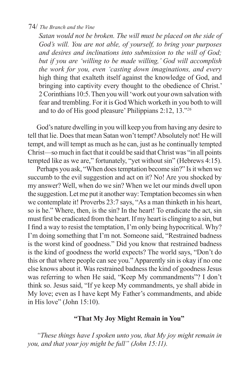Satan would not be broken. The will must be placed on the side of *God's will. You are not able, of yourself, to bring your purposes and desires and inclinations into submission to the will of God; but if you are 'willing to be made willing,' God will accomplish the work for you, even 'casting down imaginations, and every*  high thing that exalteth itself against the knowledge of God, and bringing into captivity every thought to the obedience of Christ.' 2 Corinthians 10:5. Then you will 'work out your own salvation with fear and trembling. For it is God Which worketh in you both to will and to do of His good pleasure' Philippians 2:12, 13."*<sup>26</sup>*

God's nature dwelling in you will keep you from having any desire to tell that lie. Does that mean Satan won't tempt? Absolutely not! He will tempt, and will tempt as much as he can, just as he continually tempted Christ—so much in fact that it could be said that Christ was "in all points tempted like as we are," fortunately, "yet without sin" (Hebrews 4:15).

Perhaps you ask, "When does temptation become sin?" Is it when we succumb to the evil suggestion and act on it? No! Are you shocked by my answer? Well, when do we sin? When we let our minds dwell upon the suggestion. Let me put it another way: Temptation becomes sin when we contemplate it! Proverbs 23:7 says, "As a man thinketh in his heart, so is he." Where, then, is the sin? In the heart! To eradicate the act, sin must first be eradicated from the heart. If my heart is clinging to a sin, but I find a way to resist the temptation, I'm only being hypocritical. Why? I'm doing something that I'm not. Someone said, "Restrained badness is the worst kind of goodness." Did you know that restrained badness is the kind of goodness the world expects? The world says, "Don't do this or that where people can see you." Apparently sin is okay if no one else knows about it. Was restrained badness the kind of goodness Jesus was referring to when He said, "Keep My commandments"? I don't think so. Jesus said, "If ye keep My commandments, ye shall abide in My love; even as I have kept My Father's commandments, and abide in His love" (John 15:10).

## **"That My Joy Might Remain in You"**

*"These things have I spoken unto you, that My joy might remain in you, and that your joy might be full" (John 15:11).*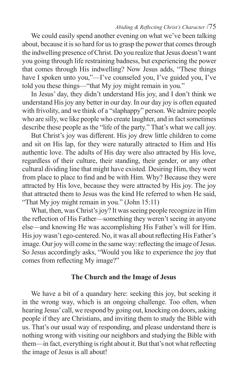We could easily spend another evening on what we've been talking about, because it is so hard for us to grasp the power that comes through the indwelling presence of Christ. Do you realize that Jesus doesn't want you going through life restraining badness, but experiencing the power that comes through His indwelling? Now Jesus adds, "These things have I spoken unto you,"—I've counseled you, I've guided you, I've told you these things—"that My joy might remain in you."

In Jesus' day, they didn't understand His joy, and I don't think we understand His joy any better in our day. In our day joy is often equated with frivolity, and we think of a "slaphappy" person. We admire people who are silly, we like people who create laughter, and in fact sometimes describe these people as the "life of the party." That's what we call joy.

But Christ's joy was different. His joy drew little children to come and sit on His lap, for they were naturally attracted to Him and His authentic love. The adults of His day were also attracted by His love, regardless of their culture, their standing, their gender, or any other cultural dividing line that might have existed. Desiring Him, they went from place to place to find and be with Him. Why? Because they were attracted by His love, because they were attracted by His joy. The joy that attracted them to Jesus was the kind He referred to when He said, "That My joy might remain in you." (John 15:11)

What, then, was Christ's joy? It was seeing people recognize in Him the reflection of His Father—something they weren't seeing in anyone else—and knowing He was accomplishing His Father's will for Him. His joy wasn't ego-centered. No, it was all about reflecting His Father's image. Our joy will come in the same way: reflecting the image of Jesus. So Jesus accordingly asks, "Would you like to experience the joy that comes from reflecting My image?"

#### **The Church and the Image of Jesus**

We have a bit of a quandary here: seeking this joy, but seeking it in the wrong way, which is an ongoing challenge. Too often, when hearing Jesus' call, we respond by going out, knocking on doors, asking people if they are Christians, and inviting them to study the Bible with us. That's our usual way of responding, and please understand there is nothing wrong with visiting our neighbors and studying the Bible with them—in fact, everything is right about it. But that's not what reflecting the image of Jesus is all about!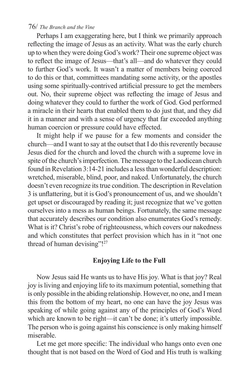Perhaps I am exaggerating here, but I think we primarily approach reflecting the image of Jesus as an activity. What was the early church up to when they were doing God's work? Their one supreme object was to reflect the image of Jesus—that's all—and do whatever they could to further God's work. It wasn't a matter of members being coerced to do this or that, committees mandating some activity, or the apostles using some spiritually-contrived artificial pressure to get the members out. No, their supreme object was reflecting the image of Jesus and doing whatever they could to further the work of God. God performed a miracle in their hearts that enabled them to do just that, and they did it in a manner and with a sense of urgency that far exceeded anything human coercion or pressure could have effected.

It might help if we pause for a few moments and consider the church—and I want to say at the outset that I do this reverently because Jesus died for the church and loved the church with a supreme love in spite of the church's imperfection. The message to the Laodicean church found in Revelation 3:14-21 includes a less than wonderful description: wretched, miserable, blind, poor, and naked. Unfortunately, the church doesn't even recognize its true condition. The description in Revelation 3 is unflattering, but it is God's pronouncement of us, and we shouldn't get upset or discouraged by reading it; just recognize that we've gotten ourselves into a mess as human beings. Fortunately, the same message that accurately describes our condition also enumerates God's remedy. What is it? Christ's robe of righteousness, which covers our nakedness and which constitutes that perfect provision which has in it "not one thread of human devising"!<sup>27</sup>

#### **Enjoying Life to the Full**

Now Jesus said He wants us to have His joy. What is that joy? Real joy is living and enjoying life to its maximum potential, something that is only possible in the abiding relationship. However, no one, and I mean this from the bottom of my heart, no one can have the joy Jesus was speaking of while going against any of the principles of God's Word which are known to be right—it can't be done; it's utterly impossible. The person who is going against his conscience is only making himself miserable.

Let me get more specific: The individual who hangs onto even one thought that is not based on the Word of God and His truth is walking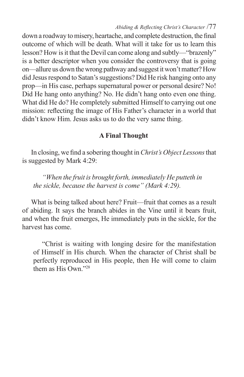down a roadway to misery, heartache, and complete destruction, the final outcome of which will be death. What will it take for us to learn this lesson? How is it that the Devil can come along and subtly—"brazenly" is a better descriptor when you consider the controversy that is going on—allure us down the wrong pathway and suggest it won't matter? How did Jesus respond to Satan's suggestions? Did He risk hanging onto any prop—in His case, perhaps supernatural power or personal desire? No! Did He hang onto anything? No. He didn't hang onto even one thing. What did He do? He completely submitted Himself to carrying out one mission: reflecting the image of His Father's character in a world that didn't know Him. Jesus asks us to do the very same thing.

#### **A Final Thought**

In closing, we find a sobering thought in *Christ's Object Lessons* that is suggested by Mark 4:29:

*"When the fruit is brought forth, immediately He putteth in the sickle, because the harvest is come" (Mark 4:29).*

What is being talked about here? Fruit—fruit that comes as a result of abiding. It says the branch abides in the Vine until it bears fruit, and when the fruit emerges, He immediately puts in the sickle, for the harvest has come.

"Christ is waiting with longing desire for the manifestation of Himself in His church. When the character of Christ shall be perfectly reproduced in His people, then He will come to claim them as His Own."28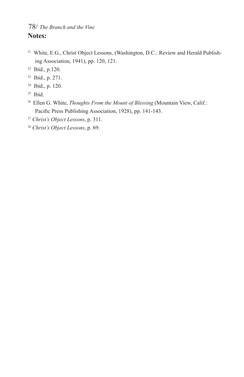## 78/ *The Branch and the Vine* **Notes:**

- <sup>21</sup> White, E.G., Christ Object Lessons, (Washington, D.C.: Review and Herald Publishing Association, 1941), pp. 120, 121.
- 22 Ibid., p.120.
- 23 Ibid., p. 271.
- 24 Ibid., p. 120.
- $25$  Ibid.
- 26 Ellen G. White, *Thoughts From the Mount of Blessing* (Mountain View, Calif.: Pacific Press Publishing Association, 1928), pp. 141-143.
- <sup>27</sup> *Christ's Object Lessons*, p. 311.
- 28 *Christ's Object Lessons*, p. 69.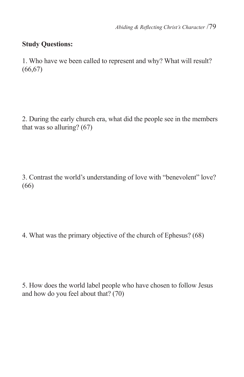## **Study Questions:**

1. Who have we been called to represent and why? What will result? (66,67)

2. During the early church era, what did the people see in the members that was so alluring? (67)

3. Contrast the world's understanding of love with "benevolent" love? (66)

4. What was the primary objective of the church of Ephesus? (68)

5. How does the world label people who have chosen to follow Jesus and how do you feel about that? (70)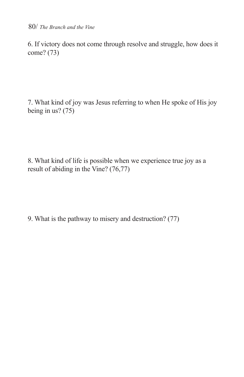6. If victory does not come through resolve and struggle, how does it come? (73)

7. What kind of joy was Jesus referring to when He spoke of His joy being in us? (75)

8. What kind of life is possible when we experience true joy as a result of abiding in the Vine? (76,77)

9. What is the pathway to misery and destruction? (77)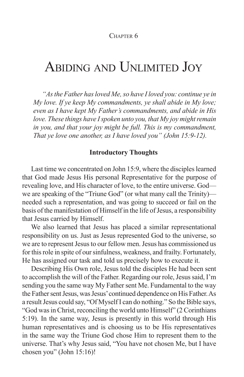#### CHAPTER<sub>6</sub>

# Abiding and Unlimited Joy

*"As the Father has loved Me, so have I loved you: continue ye in My love. If ye keep My commandments, ye shall abide in My love; even as I have kept My Father's commandments, and abide in His love. These things have I spoken unto you, that My joy might remain in you, and that your joy might be full. This is my commandment, That ye love one another, as I have loved you" (John 15:9-12).*

#### **Introductory Thoughts**

Last time we concentrated on John 15:9, where the disciples learned that God made Jesus His personal Representative for the purpose of revealing love, and His character of love, to the entire universe. God we are speaking of the "Triune God" (or what many call the Trinity) needed such a representation, and was going to succeed or fail on the basis of the manifestation of Himself in the life of Jesus, a responsibility that Jesus carried by Himself.

We also learned that Jesus has placed a similar representational responsibility on us. Just as Jesus represented God to the universe, so we are to represent Jesus to our fellow men. Jesus has commissioned us for this role in spite of our sinfulness, weakness, and frailty. Fortunately, He has assigned our task and told us precisely how to execute it.

Describing His Own role, Jesus told the disciples He had been sent to accomplish the will of the Father. Regarding our role, Jesus said, I'm sending you the same way My Father sent Me. Fundamental to the way the Father sent Jesus, was Jesus' continued dependence on His Father. As a result Jesus could say, "Of Myself I can do nothing." So the Bible says, "God was in Christ, reconciling the world unto Himself" (2 Corinthians 5:19). In the same way, Jesus is presently in this world through His human representatives and is choosing us to be His representatives in the same way the Triune God chose Him to represent them to the universe. That's why Jesus said, "You have not chosen Me, but I have chosen you" (John 15:16)!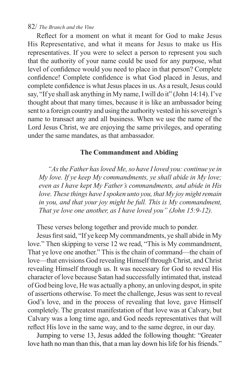Reflect for a moment on what it meant for God to make Jesus His Representative, and what it means for Jesus to make us His representatives. If you were to select a person to represent you such that the authority of your name could be used for any purpose, what level of confidence would you need to place in that person? Complete confidence! Complete confidence is what God placed in Jesus, and complete confidence is what Jesus places in us. As a result, Jesus could say, "If ye shall ask anything in My name, I will do it" (John 14:14). I've thought about that many times, because it is like an ambassador being sent to a foreign country and using the authority vested in his sovereign's name to transact any and all business. When we use the name of the Lord Jesus Christ, we are enjoying the same privileges, and operating under the same mandates, as that ambassador.

#### **The Commandment and Abiding**

*"As the Father has loved Me, so have I loved you: continue ye in My love. If ye keep My commandments, ye shall abide in My love; even as I have kept My Father's commandments, and abide in His love. These things have I spoken unto you, that My joy might remain in you, and that your joy might be full. This is My commandment, That ye love one another, as I have loved you" (John 15:9-12).*

These verses belong together and provide much to ponder.

Jesus first said, "If ye keep My commandments, ye shall abide in My love." Then skipping to verse 12 we read, "This is My commandment, That ye love one another." This is the chain of command—the chain of love—that envisions God revealing Himself through Christ, and Christ revealing Himself through us. It was necessary for God to reveal His character of love because Satan had successfully intimated that, instead of God being love, He was actually a phony, an unloving despot, in spite of assertions otherwise. To meet the challenge, Jesus was sent to reveal God's love, and in the process of revealing that love, gave Himself completely. The greatest manifestation of that love was at Calvary, but Calvary was a long time ago, and God needs representatives that will reflect His love in the same way, and to the same degree, in our day.

Jumping to verse 13, Jesus added the following thought: "Greater love hath no man than this, that a man lay down his life for his friends."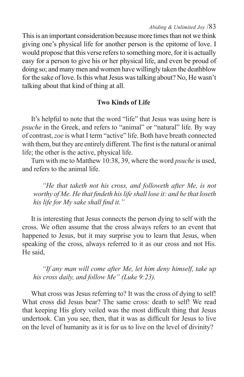This is an important consideration because more times than not we think giving one's physical life for another person is the epitome of love. I would propose that this verse refers to something more, for it is actually easy for a person to give his or her physical life, and even be proud of doing so; and many men and women have willingly taken the deathblow for the sake of love. Is this what Jesus was talking about? No, He wasn't talking about that kind of thing at all.

## **Two Kinds of Life**

It's helpful to note that the word "life" that Jesus was using here is *psuche* in the Greek, and refers to "animal" or "natural" life. By way of contrast, *zoe* is what I term "active" life. Both have breath connected with them, but they are entirely different. The first is the natural or animal life; the other is the active, physical life.

Turn with me to Matthew 10:38, 39, where the word *psuche* is used, and refers to the animal life.

*"He that taketh not his cross, and followeth after Me, is not worthy of Me. He that findeth his life shall lose it: and he that loseth his life for My sake shall find it."*

It is interesting that Jesus connects the person dying to self with the cross. We often assume that the cross always refers to an event that happened to Jesus, but it may surprise you to learn that Jesus, when speaking of the cross, always referred to it as our cross and not His. He said,

*"If any man will come after Me, let him deny himself, take up his cross daily, and follow Me" (Luke 9:23).*

What cross was Jesus referring to? It was the cross of dying to self! What cross did Jesus bear? The same cross: death to self! We read that keeping His glory veiled was the most difficult thing that Jesus undertook. Can you see, then, that it was as difficult for Jesus to live on the level of humanity as it is for us to live on the level of divinity?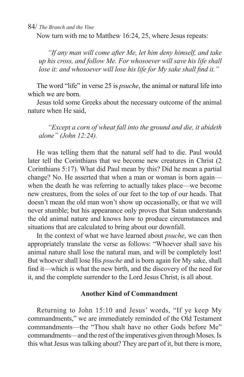Now turn with me to Matthew 16:24, 25, where Jesus repeats:

*"If any man will come after Me, let him deny himself, and take up his cross, and follow Me. For whosoever will save his life shall lose it: and whosoever will lose his life for My sake shall find it."*

The word "life" in verse 25 is *psuche*, the animal or natural life into which we are born.

Jesus told some Greeks about the necessary outcome of the animal nature when He said,

*"Except a corn of wheat fall into the ground and die, it abideth alone" (John 12:24).*

He was telling them that the natural self had to die. Paul would later tell the Corinthians that we become new creatures in Christ (2 Corinthians 5:17). What did Paul mean by this? Did he mean a partial change? No. He asserted that when a man or woman is born again when the death he was referring to actually takes place—we become new creatures, from the soles of our feet to the top of our heads. That doesn't mean the old man won't show up occasionally, or that we will never stumble; but his appearance only proves that Satan understands the old animal nature and knows how to produce circumstances and situations that are calculated to bring about our downfall.

In the context of what we have learned about *psuche*, we can then appropriately translate the verse as follows: "Whoever shall save his animal nature shall lose the natural man, and will be completely lost! But whoever shall lose His *psuche* and is born again for My sake, shall find it—which is what the new birth, and the discovery of the need for it, and the complete surrender to the Lord Jesus Christ, is all about.

#### **Another Kind of Commandment**

Returning to John 15:10 and Jesus' words, "If ye keep My commandments," we are immediately reminded of the Old Testament commandments—the "Thou shalt have no other Gods before Me" commandments—and the rest of the imperatives given through Moses. Is this what Jesus was talking about? They are part of it, but there is more,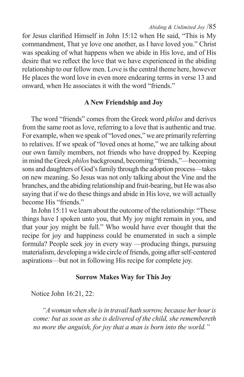for Jesus clarified Himself in John 15:12 when He said, "This is My commandment, That ye love one another, as I have loved you." Christ was speaking of what happens when we abide in His love, and of His desire that we reflect the love that we have experienced in the abiding relationship to our fellow men. Love is the central theme here, however He places the word love in even more endearing terms in verse 13 and onward, when He associates it with the word "friends."

## **A New Friendship and Joy**

The word "friends" comes from the Greek word *philos* and derives from the same root as love, referring to a love that is authentic and true. For example, when we speak of "loved ones," we are primarily referring to relatives. If we speak of "loved ones at home," we are talking about our own family members, not friends who have dropped by. Keeping in mind the Greek *philos* background, becoming "friends,"—becoming sons and daughters of God's family through the adoption process—takes on new meaning. So Jesus was not only talking about the Vine and the branches, and the abiding relationship and fruit-bearing, but He was also saying that if we do these things and abide in His love, we will actually become His "friends."

In John 15:11 we learn about the outcome of the relationship: "These things have I spoken unto you, that My joy might remain in you, and that your joy might be full." Who would have ever thought that the recipe for joy and happiness could be enumerated in such a simple formula? People seek joy in every way —producing things, pursuing materialism, developing a wide circle of friends, going after self-centered aspirations—but not in following His recipe for complete joy.

### **Sorrow Makes Way for This Joy**

Notice John 16:21, 22:

*"A woman when she is in travail hath sorrow, because her hour is come: but as soon as she is delivered of the child, she remembereth no more the anguish, for joy that a man is born into the world."*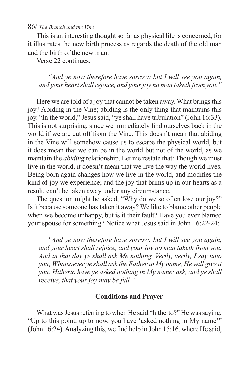This is an interesting thought so far as physical life is concerned, for it illustrates the new birth process as regards the death of the old man and the birth of the new man.

Verse 22 continues:

*"And ye now therefore have sorrow: but I will see you again, and your heart shall rejoice, and your joy no man taketh from you."*

Here we are told of a joy that cannot be taken away. What brings this joy? Abiding in the Vine; abiding is the only thing that maintains this joy. "In the world," Jesus said, "ye shall have tribulation" (John 16:33). This is not surprising, since we immediately find ourselves back in the world if we are cut off from the Vine. This doesn't mean that abiding in the Vine will somehow cause us to escape the physical world, but it does mean that we can be in the world but not of the world, as we maintain the *abiding* relationship. Let me restate that: Though we must live in the world, it doesn't mean that we live the way the world lives. Being born again changes how we live in the world, and modifies the kind of joy we experience; and the joy that brims up in our hearts as a result, can't be taken away under any circumstance.

The question might be asked, "Why do we so often lose our joy?" Is it because someone has taken it away? We like to blame other people when we become unhappy, but is it their fault? Have you ever blamed your spouse for something? Notice what Jesus said in John 16:22-24:

*"And ye now therefore have sorrow: but I will see you again, and your heart shall rejoice, and your joy no man taketh from you. And in that day ye shall ask Me nothing. Verily, verily, I say unto you, Whatsoever ye shall ask the Father in My name, He will give it you. Hitherto have ye asked nothing in My name: ask, and ye shall receive, that your joy may be full."*

#### **Conditions and Prayer**

What was Jesus referring to when He said "hitherto?" He was saying, "Up to this point, up to now, you have 'asked nothing in My name'" (John 16:24). Analyzing this, we find help in John 15:16, where He said,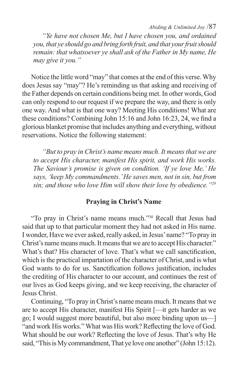*Abiding & Unlimited Joy* /87

*"Ye have not chosen Me, but I have chosen you, and ordained you, that ye should go and bring forth fruit, and that your fruit should remain: that whatsoever ye shall ask of the Father in My name, He may give it you."*

Notice the little word "may" that comes at the end of this verse. Why does Jesus say "may"? He's reminding us that asking and receiving of the Father depends on certain conditions being met. In other words, God can only respond to our request if we prepare the way, and there is only one way. And what is that one way? Meeting His conditions! What are these conditions? Combining John 15:16 and John 16:23, 24, we find a glorious blanket promise that includes anything and everything, without reservations. Notice the following statement:

*"But to pray in Christ's name means much. It means that we are to accept His character, manifest His spirit, and work His works. The Saviour's promise is given on condition. 'If ye love Me,' He says, 'keep My commandments.' He saves men, not in sin, but from sin; and those who love Him will show their love by obedience."29*

#### **Praying in Christ's Name**

"To pray in Christ's name means much."30 Recall that Jesus had said that up to that particular moment they had not asked in His name. I wonder, Have we ever asked, really asked, in Jesus' name? "To pray in Christ's name means much. It means that we are to accept His character." What's that? His character of love. That's what we call sanctification, which is the practical impartation of the character of Christ, and is what God wants to do for us. Sanctification follows justification, includes the crediting of His character to our account, and continues the rest of our lives as God keeps giving, and we keep receiving, the character of Jesus Christ.

Continuing, "To pray in Christ's name means much. It means that we are to accept His character, manifest His Spirit [—it gets harder as we go; I would suggest more beautiful, but also more binding upon us—] "and work His works." What was His work? Reflecting the love of God. What should be our work? Reflecting the love of Jesus. That's why He said, "This is My commandment, That ye love one another" (John 15:12).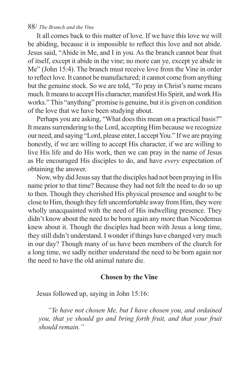It all comes back to this matter of love. If we have this love we will be abiding, because it is impossible to reflect this love and not abide. Jesus said, "Abide in Me, and I in you. As the branch cannot bear fruit of itself, except it abide in the vine; no more can ye, except ye abide in Me" (John 15:4). The branch must receive love from the Vine in order to reflect love. It cannot be manufactured; it cannot come from anything but the genuine stock. So we are told, "To pray in Christ's name means much. It means to accept His character, manifest His Spirit, and work His works." This "anything" promise is genuine, but it is given on condition of the love that we have been studying about.

Perhaps you are asking, "What does this mean on a practical basis?" It means surrendering to the Lord, accepting Him because we recognize our need, and saying "Lord, please enter, I accept You." If we are praying honestly, if we are willing to accept His character, if we are willing to live His life and do His work, then we can pray in the name of Jesus as He encouraged His disciples to do, and have *every* expectation of obtaining the answer.

Now, why did Jesus say that the disciples had not been praying in His name prior to that time? Because they had not felt the need to do so up to then. Though they cherished His physical presence and sought to be close to Him, though they felt uncomfortable away from Him, they were wholly unacquainted with the need of His indwelling presence. They didn't know about the need to be born again any more than Nicodemus knew about it. Though the disciples had been with Jesus a long time, they still didn't understand. I wonder if things have changed very much in our day? Though many of us have been members of the church for a long time, we sadly neither understand the need to be born again nor the need to have the old animal nature die.

#### **Chosen by the Vine**

Jesus followed up, saying in John 15:16:

*"Ye have not chosen Me, but I have chosen you, and ordained you, that ye should go and bring forth fruit, and that your fruit should remain."*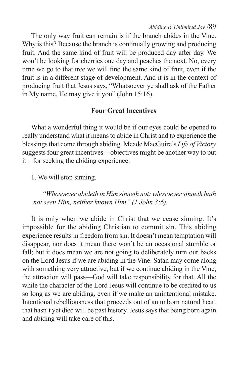The only way fruit can remain is if the branch abides in the Vine. Why is this? Because the branch is continually growing and producing fruit. And the same kind of fruit will be produced day after day. We won't be looking for cherries one day and peaches the next. No, every time we go to that tree we will find the same kind of fruit, even if the fruit is in a different stage of development. And it is in the context of producing fruit that Jesus says, "Whatsoever ye shall ask of the Father in My name, He may give it you" (John 15:16).

#### **Four Great Incentives**

What a wonderful thing it would be if our eyes could be opened to really understand what it means to abide in Christ and to experience the blessings that come through abiding. Meade MacGuire's *Life of Victory* suggests four great incentives—objectives might be another way to put it—for seeking the abiding experience:

1. We will stop sinning.

*"Whosoever abideth in Him sinneth not: whosoever sinneth hath not seen Him, neither known Him" (1 John 3:6).* 

It is only when we abide in Christ that we cease sinning. It's impossible for the abiding Christian to commit sin. This abiding experience results in freedom from sin. It doesn't mean temptation will disappear, nor does it mean there won't be an occasional stumble or fall; but it does mean we are not going to deliberately turn our backs on the Lord Jesus if we are abiding in the Vine. Satan may come along with something very attractive, but if we continue abiding in the Vine, the attraction will pass—God will take responsibility for that. All the while the character of the Lord Jesus will continue to be credited to us so long as we are abiding, even if we make an unintentional mistake. Intentional rebelliousness that proceeds out of an unborn natural heart that hasn't yet died will be past history. Jesus says that being born again and abiding will take care of this.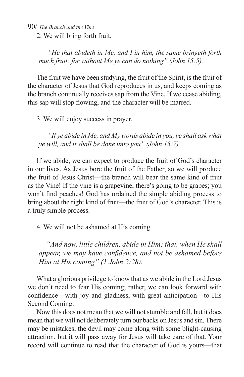2. We will bring forth fruit.

*"He that abideth in Me, and I in him, the same bringeth forth much fruit: for without Me ye can do nothing" (John 15:5).*

The fruit we have been studying, the fruit of the Spirit, is the fruit of the character of Jesus that God reproduces in us, and keeps coming as the branch continually receives sap from the Vine. If we cease abiding, this sap will stop flowing, and the character will be marred.

3. We will enjoy success in prayer.

*"If ye abide in Me, and My words abide in you, ye shall ask what ye will, and it shall be done unto you" (John 15:7).*

If we abide, we can expect to produce the fruit of God's character in our lives. As Jesus bore the fruit of the Father, so we will produce the fruit of Jesus Christ—the branch will bear the same kind of fruit as the Vine! If the vine is a grapevine, there's going to be grapes; you won't find peaches! God has ordained the simple abiding process to bring about the right kind of fruit—the fruit of God's character. This is a truly simple process.

4. We will not be ashamed at His coming.

*"And now, little children, abide in Him; that, when He shall appear, we may have confidence, and not be ashamed before Him at His coming" (1 John 2:28).*

What a glorious privilege to know that as we abide in the Lord Jesus we don't need to fear His coming; rather, we can look forward with confidence—with joy and gladness, with great anticipation—to His Second Coming.

Now this does not mean that we will not stumble and fall, but it does mean that we will not deliberately turn our backs on Jesus and sin. There may be mistakes; the devil may come along with some blight-causing attraction, but it will pass away for Jesus will take care of that. Your record will continue to read that the character of God is yours—that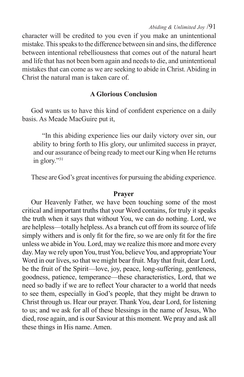*Abiding & Unlimited Joy* /91

character will be credited to you even if you make an unintentional mistake. This speaks to the difference between sin and sins, the difference between intentional rebelliousness that comes out of the natural heart and life that has not been born again and needs to die, and unintentional mistakes that can come as we are seeking to abide in Christ. Abiding in Christ the natural man is taken care of.

## **A Glorious Conclusion**

God wants us to have this kind of confident experience on a daily basis. As Meade MacGuire put it,

"In this abiding experience lies our daily victory over sin, our ability to bring forth to His glory, our unlimited success in prayer, and our assurance of being ready to meet our King when He returns in glory."31

These are God's great incentives for pursuing the abiding experience.

#### **Prayer**

Our Heavenly Father, we have been touching some of the most critical and important truths that your Word contains, for truly it speaks the truth when it says that without You, we can do nothing. Lord, we are helpless—totally helpless. As a branch cut off from its source of life simply withers and is only fit for the fire, so we are only fit for the fire unless we abide in You. Lord, may we realize this more and more every day. May we rely upon You, trust You, believe You, and appropriate Your Word in our lives, so that we might bear fruit. May that fruit, dear Lord, be the fruit of the Spirit—love, joy, peace, long-suffering, gentleness, goodness, patience, temperance—these characteristics, Lord, that we need so badly if we are to reflect Your character to a world that needs to see them, especially in God's people, that they might be drawn to Christ through us. Hear our prayer. Thank You, dear Lord, for listening to us; and we ask for all of these blessings in the name of Jesus, Who died, rose again, and is our Saviour at this moment. We pray and ask all these things in His name. Amen.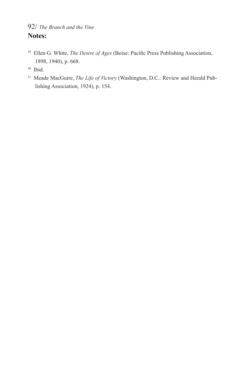## 92/ *The Branch and the Vine* **Notes:**

- 29 Ellen G. White, *The Desire of Ages* (Boise: Pacific Press Publishing Association, 1898, 1940), p. 668.
- 30 Ibid.
- 31 Meade MacGuire, *The Life of Victory* (Washington, D.C.: Review and Herald Publishing Association, 1924), p. 154.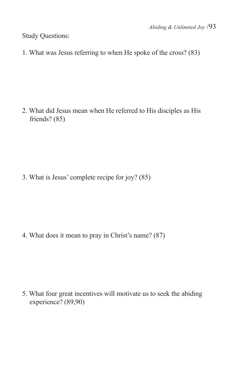Study Questions:

1. What was Jesus referring to when He spoke of the cross? (83)

2. What did Jesus mean when He referred to His disciples as His friends? (85)

3. What is Jesus' complete recipe for joy? (85)

4. What does it mean to pray in Christ's name? (87)

5. What four great incentives will motivate us to seek the abiding experience? (89,90)